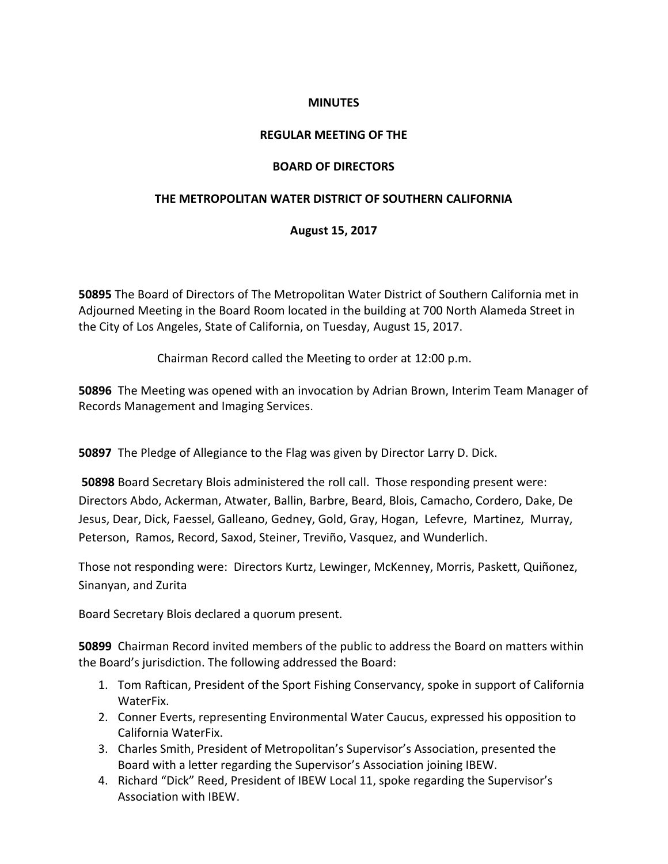### **MINUTES**

### **REGULAR MEETING OF THE**

## **BOARD OF DIRECTORS**

## **THE METROPOLITAN WATER DISTRICT OF SOUTHERN CALIFORNIA**

# **August 15, 2017**

**50895** The Board of Directors of The Metropolitan Water District of Southern California met in Adjourned Meeting in the Board Room located in the building at 700 North Alameda Street in the City of Los Angeles, State of California, on Tuesday, August 15, 2017.

Chairman Record called the Meeting to order at 12:00 p.m.

**50896** The Meeting was opened with an invocation by Adrian Brown, Interim Team Manager of Records Management and Imaging Services.

**50897** The Pledge of Allegiance to the Flag was given by Director Larry D. Dick.

**50898** Board Secretary Blois administered the roll call. Those responding present were: Directors Abdo, Ackerman, Atwater, Ballin, Barbre, Beard, Blois, Camacho, Cordero, Dake, De Jesus, Dear, Dick, Faessel, Galleano, Gedney, Gold, Gray, Hogan, Lefevre, Martinez, Murray, Peterson, Ramos, Record, Saxod, Steiner, Treviño, Vasquez, and Wunderlich.

Those not responding were: Directors Kurtz, Lewinger, McKenney, Morris, Paskett, Quiñonez, Sinanyan, and Zurita

Board Secretary Blois declared a quorum present.

**50899** Chairman Record invited members of the public to address the Board on matters within the Board's jurisdiction. The following addressed the Board:

- 1. Tom Raftican, President of the Sport Fishing Conservancy, spoke in support of California WaterFix.
- 2. Conner Everts, representing Environmental Water Caucus, expressed his opposition to California WaterFix.
- 3. Charles Smith, President of Metropolitan's Supervisor's Association, presented the Board with a letter regarding the Supervisor's Association joining IBEW.
- 4. Richard "Dick" Reed, President of IBEW Local 11, spoke regarding the Supervisor's Association with IBEW.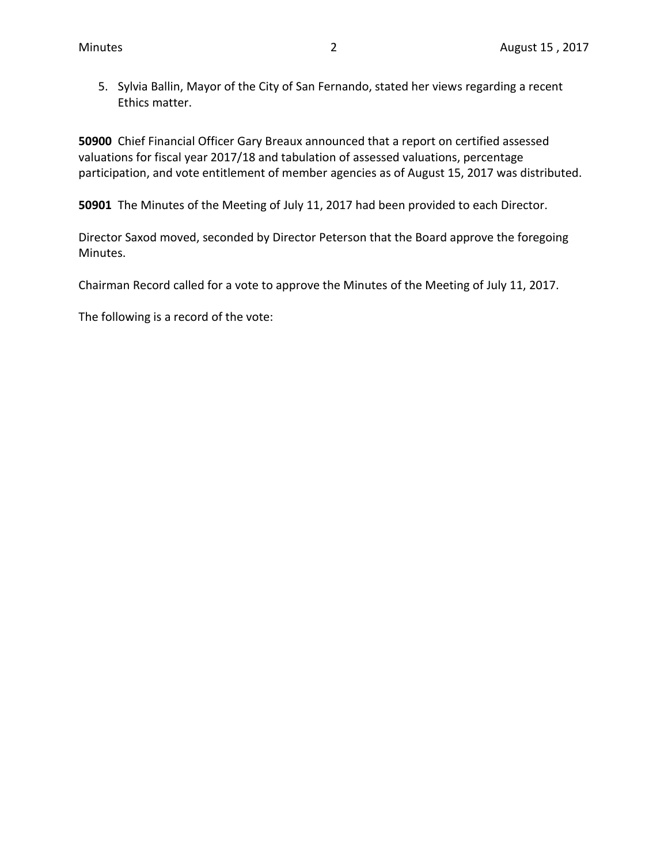5. Sylvia Ballin, Mayor of the City of San Fernando, stated her views regarding a recent Ethics matter.

**50900** Chief Financial Officer Gary Breaux announced that a report on certified assessed valuations for fiscal year 2017/18 and tabulation of assessed valuations, percentage participation, and vote entitlement of member agencies as of August 15, 2017 was distributed.

**50901** The Minutes of the Meeting of July 11, 2017 had been provided to each Director.

Director Saxod moved, seconded by Director Peterson that the Board approve the foregoing Minutes.

Chairman Record called for a vote to approve the Minutes of the Meeting of July 11, 2017.

The following is a record of the vote: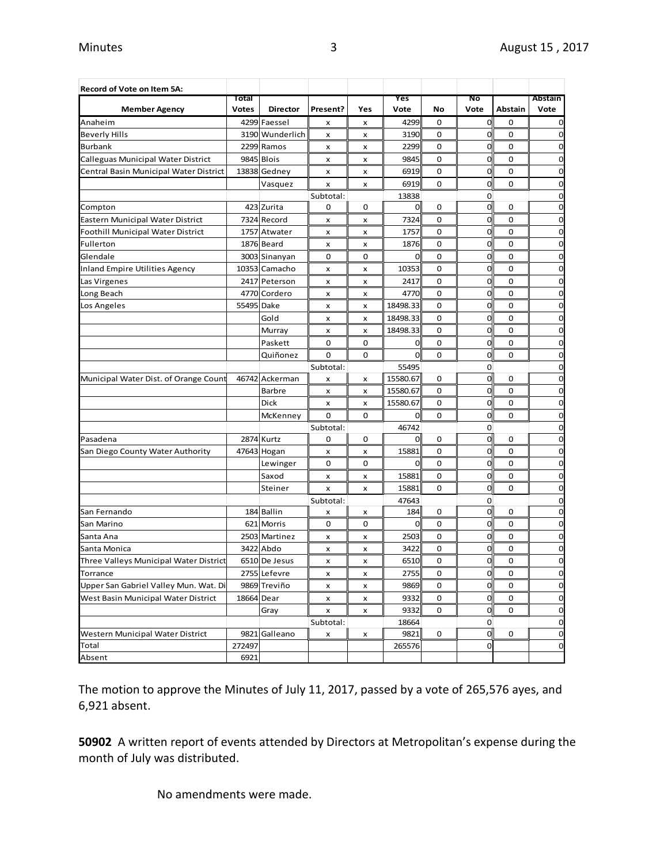| Record of Vote on Item 5A:             |              |                 |             |                |          |             |                |         |         |
|----------------------------------------|--------------|-----------------|-------------|----------------|----------|-------------|----------------|---------|---------|
|                                        | Total        |                 |             |                | Yes      |             | Νo             |         | Abstain |
| <b>Member Agency</b>                   | <b>Votes</b> | <b>Director</b> | Present?    | Yes            | Vote     | No          | Vote           | Abstain | Vote    |
| Anaheim                                |              | 4299 Faessel    | x           | x              | 4299     | $\mathbf 0$ | $\mathbf 0$    | 0       | 0       |
| <b>Beverly Hills</b>                   |              | 3190 Wunderlich | x           | $\pmb{\times}$ | 3190     | 0           | 0              | 0       | 0       |
| <b>Burbank</b>                         |              | 2299 Ramos      | x           | x              | 2299     | 0           | 0              | 0       | 0       |
| Calleguas Municipal Water District     |              | 9845 Blois      | x           | X              | 9845     | 0           | 0              | 0       | 0       |
| Central Basin Municipal Water District |              | 13838 Gedney    | x           | x              | 6919     | 0           | $\mathbf 0$    | 0       | 0       |
|                                        |              | Vasquez         | x           | x              | 6919     | 0           | 0              | 0       | 0       |
|                                        |              |                 | Subtotal:   |                | 13838    |             | 0              |         | 0       |
| Compton                                |              | 423 Zurita      | 0           | $\mathbf 0$    | O        | 0           | $\mathbf 0$    | 0       | 0       |
| Eastern Municipal Water District       |              | 7324 Record     | x           | x              | 7324     | 0           | 0              | 0       | 0       |
| Foothill Municipal Water District      |              | 1757 Atwater    | x           | x              | 1757     | 0           | 0              | 0       | 0       |
| Fullerton                              |              | 1876 Beard      | x           | x              | 1876     | 0           | 0              | 0       | 0       |
| Glendale                               |              | 3003 Sinanyan   | 0           | 0              | 0        | 0           | $\mathbf 0$    | 0       | 0       |
| <b>Inland Empire Utilities Agency</b>  |              | 10353 Camacho   | x           | x              | 10353    | 0           | 0              | 0       | 0       |
| Las Virgenes                           |              | 2417 Peterson   | x           | x              | 2417     | 0           | $\mathbf 0$    | 0       | 0       |
| Long Beach                             |              | 4770 Cordero    | x           | x              | 4770     | 0           | 0              | 0       | 0       |
| Los Angeles                            | 55495 Dake   |                 | x           | x              | 18498.33 | 0           | $\mathbf 0$    | 0       | 0       |
|                                        |              | Gold            | x           | x              | 18498.33 | 0           | 0              | 0       | 0       |
|                                        |              | Murray          | x           | x              | 18498.33 | 0           | 0              | 0       | 0       |
|                                        |              | Paskett         | 0           | 0              | 0        | 0           | 0              | 0       | 0       |
|                                        |              | Quiñonez        | 0           | 0              | 0        | 0           | 0              | 0       | 0       |
|                                        |              |                 | Subtotal:   |                | 55495    |             | 0              |         | 0       |
| Municipal Water Dist. of Orange Count  |              | 46742 Ackerman  | x           | x              | 15580.67 | 0           | $\mathbf 0$    | 0       | 0       |
|                                        |              | <b>Barbre</b>   | x           | x              | 15580.67 | 0           | $\mathbf 0$    | 0       | 0       |
|                                        |              | Dick            | x           | x              | 15580.67 | 0           | $\overline{0}$ | 0       | 0       |
|                                        |              | McKenney        | $\mathbf 0$ | $\mathbf 0$    | 0        | 0           | 0              | 0       | 0       |
|                                        |              |                 | Subtotal:   |                | 46742    |             | 0              |         | 0       |
| Pasadena                               |              | 2874 Kurtz      | 0           | 0              | 0        | 0           | $\mathbf 0$    | 0       | 0       |
| San Diego County Water Authority       |              | 47643 Hogan     | x           | x              | 15881    | 0           | $\mathbf 0$    | 0       | 0       |
|                                        |              | Lewinger        | $\mathbf 0$ | $\mathbf 0$    | 0        | 0           | 0              | 0       | 0       |
|                                        |              | Saxod           | x           | x              | 15881    | 0           | $\mathbf 0$    | 0       | 0       |
|                                        |              | Steiner         | x           | x              | 15881    | 0           | 0              | 0       | 0       |
|                                        |              |                 | Subtotal:   |                | 47643    |             | 0              |         | 0       |
| San Fernando                           |              | 184 Ballin      | x           | x              | 184      | 0           | $\mathbf 0$    | 0       | 0       |
| San Marino                             |              | 621 Morris      | 0           | 0              | 0        | 0           | $\mathbf 0$    | 0       | 0       |
| Santa Ana                              |              | 2503 Martinez   | x           | x              | 2503     | 0           | 0              | 0       | 0       |
| Santa Monica                           | 3422         | Abdo            | x           | x              | 3422     | 0           | 0              | 0       | 0       |
| Three Valleys Municipal Water District |              | 6510 De Jesus   | x           | x              | 6510     | 0           | $\mathbf{O}$   | 0       | 0       |
| Torrance                               |              | 2755 Lefevre    | х           | x              | 2755     | 0           | 0              | 0       | 0       |
| Upper San Gabriel Valley Mun. Wat. Di  |              | 9869 Treviño    | x           | x              | 9869     | 0           | $\mathbf 0$    | 0       | 0       |
| West Basin Municipal Water District    | 18664 Dear   |                 | x           | x              | 9332     | 0           | $\mathbf 0$    | 0       | 0       |
|                                        |              | Gray            | x           | x              | 9332     | 0           | $\mathbf 0$    | 0       | 0       |
|                                        |              |                 | Subtotal:   |                | 18664    |             | 0              |         | 0       |
| Western Municipal Water District       | 9821         | Galleano        | x           | x              | 9821     | 0           | $\mathbf 0$    | 0       | 0       |
| Total                                  | 272497       |                 |             |                | 265576   |             | 0              |         | 0       |
| Absent                                 | 6921         |                 |             |                |          |             |                |         |         |

The motion to approve the Minutes of July 11, 2017, passed by a vote of 265,576 ayes, and 6,921 absent.

**50902** A written report of events attended by Directors at Metropolitan's expense during the month of July was distributed.

No amendments were made.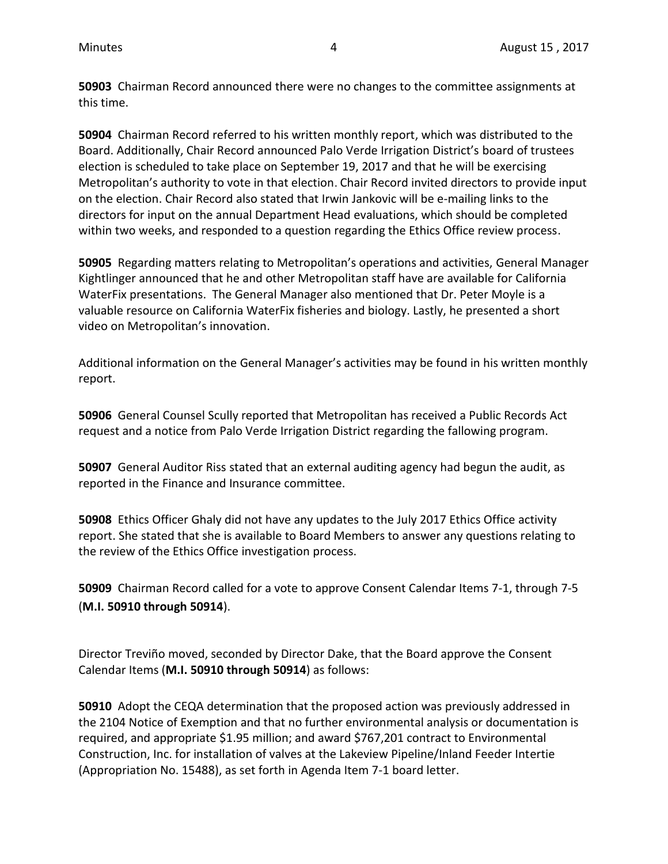**50903** Chairman Record announced there were no changes to the committee assignments at this time.

**50904** Chairman Record referred to his written monthly report, which was distributed to the Board. Additionally, Chair Record announced Palo Verde Irrigation District's board of trustees election is scheduled to take place on September 19, 2017 and that he will be exercising Metropolitan's authority to vote in that election. Chair Record invited directors to provide input on the election. Chair Record also stated that Irwin Jankovic will be e-mailing links to the directors for input on the annual Department Head evaluations, which should be completed within two weeks, and responded to a question regarding the Ethics Office review process.

**50905** Regarding matters relating to Metropolitan's operations and activities, General Manager Kightlinger announced that he and other Metropolitan staff have are available for California WaterFix presentations. The General Manager also mentioned that Dr. Peter Moyle is a valuable resource on California WaterFix fisheries and biology. Lastly, he presented a short video on Metropolitan's innovation.

Additional information on the General Manager's activities may be found in his written monthly report.

**50906** General Counsel Scully reported that Metropolitan has received a Public Records Act request and a notice from Palo Verde Irrigation District regarding the fallowing program.

**50907** General Auditor Riss stated that an external auditing agency had begun the audit, as reported in the Finance and Insurance committee.

**50908** Ethics Officer Ghaly did not have any updates to the July 2017 Ethics Office activity report. She stated that she is available to Board Members to answer any questions relating to the review of the Ethics Office investigation process.

**50909** Chairman Record called for a vote to approve Consent Calendar Items 7-1, through 7-5 (**M.I. 50910 through 50914**).

Director Treviño moved, seconded by Director Dake, that the Board approve the Consent Calendar Items (**M.I. 50910 through 50914**) as follows:

**50910** Adopt the CEQA determination that the proposed action was previously addressed in the 2104 Notice of Exemption and that no further environmental analysis or documentation is required, and appropriate \$1.95 million; and award \$767,201 contract to Environmental Construction, Inc. for installation of valves at the Lakeview Pipeline/Inland Feeder Intertie (Appropriation No. 15488), as set forth in Agenda Item 7-1 board letter.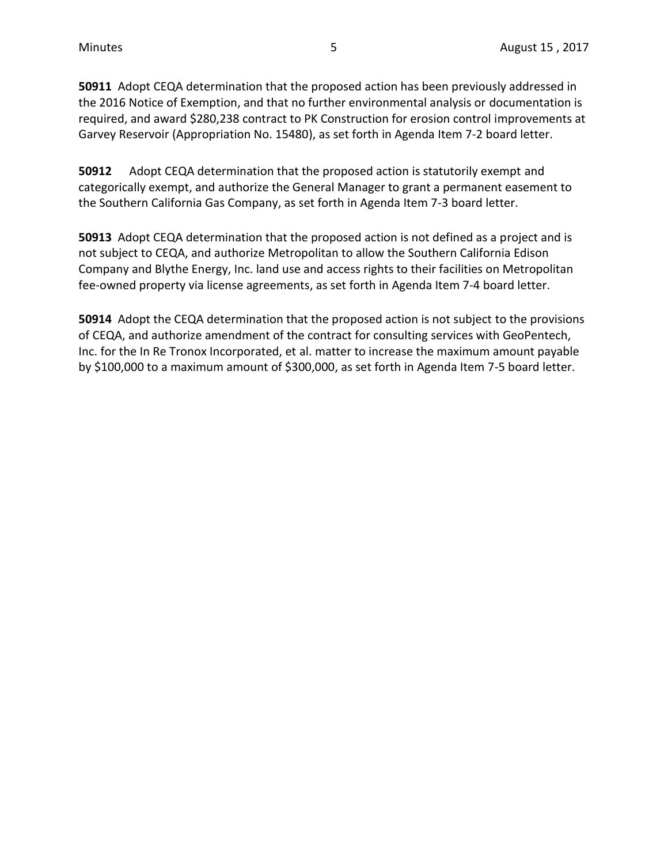**50911** Adopt CEQA determination that the proposed action has been previously addressed in the 2016 Notice of Exemption, and that no further environmental analysis or documentation is required, and award \$280,238 contract to PK Construction for erosion control improvements at Garvey Reservoir (Appropriation No. 15480), as set forth in Agenda Item 7-2 board letter.

**50912** Adopt CEQA determination that the proposed action is statutorily exempt and categorically exempt, and authorize the General Manager to grant a permanent easement to the Southern California Gas Company, as set forth in Agenda Item 7-3 board letter.

**50913** Adopt CEQA determination that the proposed action is not defined as a project and is not subject to CEQA, and authorize Metropolitan to allow the Southern California Edison Company and Blythe Energy, Inc. land use and access rights to their facilities on Metropolitan fee-owned property via license agreements, as set forth in Agenda Item 7-4 board letter.

**50914** Adopt the CEQA determination that the proposed action is not subject to the provisions of CEQA, and authorize amendment of the contract for consulting services with GeoPentech, Inc. for the In Re Tronox Incorporated, et al. matter to increase the maximum amount payable by \$100,000 to a maximum amount of \$300,000, as set forth in Agenda Item 7-5 board letter.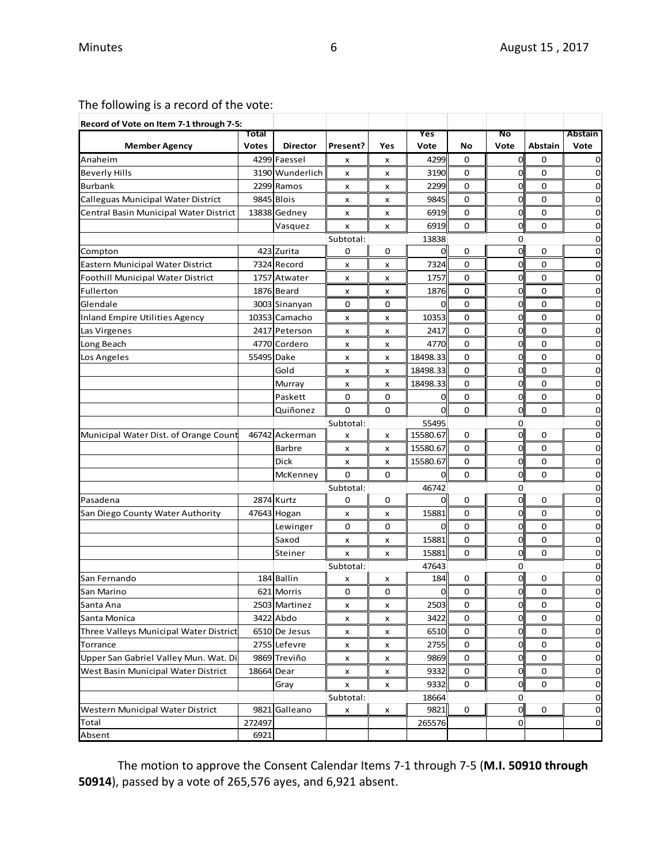The following is a record of the vote:

| Record of Vote on Item 7-1 through 7-5: |              |                 |           |     |          |           |                |             |                |
|-----------------------------------------|--------------|-----------------|-----------|-----|----------|-----------|----------------|-------------|----------------|
|                                         | Total        |                 |           |     | Yes      |           | No             |             | <b>Abstain</b> |
| <b>Member Agency</b>                    | <b>Votes</b> | <b>Director</b> | Present?  | Yes | Vote     | No        | Vote           | Abstain     | Vote           |
| Anaheim                                 |              | 4299 Faessel    | x         | x   | 4299     | 0         | $\overline{0}$ | 0           | 0              |
| Beverly Hills                           |              | 3190 Wunderlich | x         | x   | 3190     | 0         | 0              | 0           | 0              |
| <b>Burbank</b>                          |              | 2299 Ramos      | x         | x   | 2299     | 0         | 0              | 0           | 0              |
| Calleguas Municipal Water District      |              | 9845 Blois      | x         | x   | 9845     | 0         | 0              | 0           | 0              |
| Central Basin Municipal Water District  |              | 13838 Gedney    | x         | x   | 6919     | 0         | 0              | 0           | 0              |
|                                         |              | Vasquez         | x         | x   | 6919     | 0         | 0              | $\mathbf 0$ | 0              |
|                                         |              |                 | Subtotal: |     | 13838    |           | 0              |             | 0              |
| Compton                                 |              | 423 Zurita      | 0         | 0   | 0        | 0         | 0              | 0           | 0              |
| Eastern Municipal Water District        |              | 7324 Record     | x         | x   | 7324     | 0         | 0              | 0           | 0              |
| Foothill Municipal Water District       |              | 1757 Atwater    | x         | x   | 1757     | 0         | 0              | 0           | 0              |
| Fullerton                               |              | 1876 Beard      | x         | x   | 1876     | 0         | 0              | 0           | 0              |
| Glendale                                |              | 3003 Sinanyan   | 0         | 0   | 0        | 0         | 0              | 0           | 0              |
| <b>Inland Empire Utilities Agency</b>   |              | 10353 Camacho   | x         | x   | 10353    | 0         | 0              | 0           | $\overline{0}$ |
| Las Virgenes                            |              | 2417 Peterson   | x         | x   | 2417     | 0         | 0              | $\mathbf 0$ | 0              |
| Long Beach                              |              | 4770 Cordero    | x         | x   | 4770     | 0         | 0              | 0           | 0              |
| Los Angeles                             | 55495 Dake   |                 | x         | x   | 18498.33 | 0         | 0              | $\mathbf 0$ | 0              |
|                                         |              | Gold            | x         | x   | 18498.33 | 0         | 0              | 0           | 0              |
|                                         |              | Murray          | x         | x   | 18498.33 | 0         | 0              | 0           | $\overline{0}$ |
|                                         |              | Paskett         | 0         | 0   | 0        | 0         | 0              | 0           | 0              |
|                                         |              | Quiñonez        | 0         | 0   | $\Omega$ | 0         | 0              | 0           | 0              |
|                                         |              |                 | Subtotal: |     | 55495    |           | 0              |             | 0              |
| Municipal Water Dist. of Orange Count   |              | 46742 Ackerman  | x         | x   | 15580.67 | 0         | $\mathbf 0$    | 0           | $\overline{0}$ |
|                                         |              | <b>Barbre</b>   | x         | x   | 15580.67 | 0         | 0              | $\mathbf 0$ | 0              |
|                                         |              | Dick            | x         | x   | 15580.67 | 0         | 0              | $\mathbf 0$ | 0              |
|                                         |              | McKenney        | 0         | 0   | ŋ        | 0         | 0              | $\mathbf 0$ | 0              |
|                                         |              |                 | Subtotal: |     | 46742    |           | 0              |             | 0              |
| Pasadena                                |              | 2874 Kurtz      | 0         | 0   | 0        | 0         | $\overline{0}$ | 0           | $\mathbf 0$    |
| San Diego County Water Authority        |              | 47643 Hogan     | x         | x   | 15881    | 0         | 0              | 0           | 0              |
|                                         |              | Lewinger        | 0         | 0   | 0        | 0         | 0              | 0           | 0              |
|                                         |              | Saxod           | x         | x   | 15881    | 0         | 0              | $\mathbf 0$ | 0              |
|                                         |              | Steiner         | x         | x   | 15881    | 0         | 0              | $\mathbf 0$ | $\overline{0}$ |
|                                         |              |                 | Subtotal: |     | 47643    |           | 0              |             | 0              |
| San Fernando                            |              | 184 Ballin      | x         | x   | 184      | 0         | 0              | 0           | 0              |
| San Marino                              |              | 621 Morris      | 0         | 0   | 0        | 0         | 0              | 0           | 0              |
| Santa Ana                               |              | 2503 Martinez   | x         | x   | 2503     | $\pmb{0}$ | 0              | 0           |                |
| Santa Monica                            |              | 3422 Abdo       | x         | x   | 3422     | 0         | $\overline{0}$ | 0           | 0              |
| Three Valleys Municipal Water District  |              | 6510 De Jesus   | x         | x   | 6510     | 0         | 0              | 0           | 0              |
| Torrance                                |              | 2755 Lefevre    | x         | x   | 2755     | 0         | 0              | 0           | 0              |
| Upper San Gabriel Valley Mun. Wat. Di   |              | 9869 Treviño    | x         | x   | 9869     | 0         | 0              | 0           | 0              |
| West Basin Municipal Water District     | 18664 Dear   |                 | x         | x   | 9332     | 0         | 0              | 0           | $\mathbf 0$    |
|                                         |              | Gray            | x         | x   | 9332     | 0         | 0              | 0           | 0              |
|                                         |              |                 | Subtotal: |     | 18664    |           | 0              |             | 0              |
| Western Municipal Water District        |              | 9821 Galleano   | x         | x   | 9821     | 0         | $\overline{0}$ | 0           | $\mathbf 0$    |
| Total                                   | 272497       |                 |           |     | 265576   |           | 0              |             | 0              |
| Absent                                  | 6921         |                 |           |     |          |           |                |             |                |

The motion to approve the Consent Calendar Items 7-1 through 7-5 (**M.I. 50910 through 50914**), passed by a vote of 265,576 ayes, and 6,921 absent.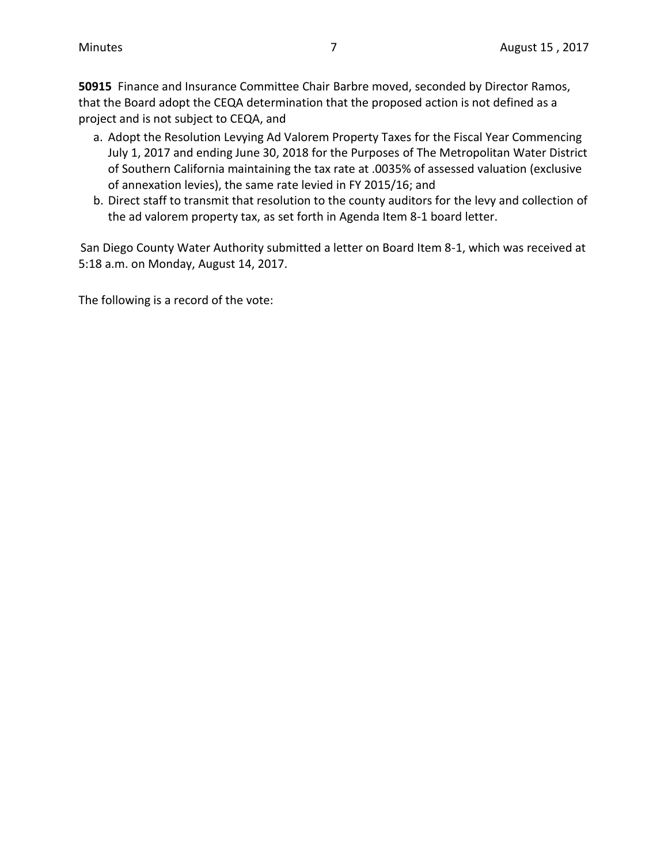**50915** Finance and Insurance Committee Chair Barbre moved, seconded by Director Ramos, that the Board adopt the CEQA determination that the proposed action is not defined as a project and is not subject to CEQA, and

- a. Adopt the Resolution Levying Ad Valorem Property Taxes for the Fiscal Year Commencing July 1, 2017 and ending June 30, 2018 for the Purposes of The Metropolitan Water District of Southern California maintaining the tax rate at .0035% of assessed valuation (exclusive of annexation levies), the same rate levied in FY 2015/16; and
- b. Direct staff to transmit that resolution to the county auditors for the levy and collection of the ad valorem property tax, as set forth in Agenda Item 8-1 board letter.

San Diego County Water Authority submitted a letter on Board Item 8-1, which was received at 5:18 a.m. on Monday, August 14, 2017.

The following is a record of the vote: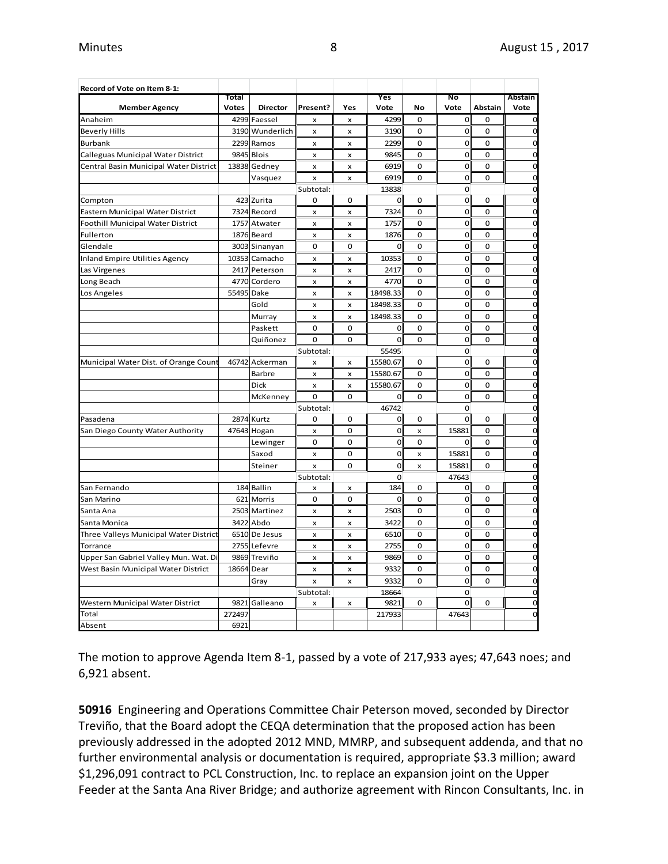| Record of Vote on Item 8-1:            |              |                 |                           |                |             |             |                |             |                |
|----------------------------------------|--------------|-----------------|---------------------------|----------------|-------------|-------------|----------------|-------------|----------------|
|                                        | Total        |                 |                           |                | Yes         |             | No             |             | Abstain        |
| <b>Member Agency</b>                   | <b>Votes</b> | <b>Director</b> | Present?                  | Yes            | Vote        | No          | Vote           | Abstain     | Vote           |
| Anaheim                                |              | 4299 Faessel    | $\boldsymbol{x}$          | x              | 4299        | $\Omega$    | 0              | $\mathbf 0$ | $\mathbf 0$    |
| <b>Beverly Hills</b>                   |              | 3190 Wunderlich | $\boldsymbol{\mathsf{x}}$ | x              | 3190        | $\Omega$    | $\mathbf 0$    | $\Omega$    | 0              |
| <b>Burbank</b>                         |              | 2299 Ramos      | x                         | x              | 2299        | 0           | $\mathbf 0$    | 0           | 0              |
| Calleguas Municipal Water District     | 9845         | <b>Blois</b>    | x                         | x              | 9845        | $\mathbf 0$ | $\mathbf 0$    | $\mathbf 0$ | $\mathbf 0$    |
| Central Basin Municipal Water District |              | 13838 Gedney    | x                         | $\mathsf{x}$   | 6919        | 0           | $\mathbf 0$    | $\mathbf 0$ | $\mathbf 0$    |
|                                        |              | Vasquez         | x                         | x              | 6919        | $\mathbf 0$ | 0              | $\mathbf 0$ | 0              |
|                                        |              |                 | Subtotal:                 |                | 13838       |             | 0              |             | 0              |
| Compton                                |              | 423 Zurita      | 0                         | 0              | 0           | 0           | $\mathbf 0$    | 0           | $\mathbf 0$    |
| Eastern Municipal Water District       |              | 7324 Record     | x                         | $\pmb{\times}$ | 7324        | $\Omega$    | $\mathbf 0$    | $\Omega$    | $\mathbf 0$    |
| Foothill Municipal Water District      | 1757         | Atwater         | $\pmb{\times}$            | x              | 1757        | $\mathbf 0$ | $\mathbf 0$    | $\mathbf 0$ | $\mathbf 0$    |
| Fullerton                              |              | 1876 Beard      | x                         | x              | 1876        | $\mathbf 0$ | $\mathbf 0$    | $\mathbf 0$ | $\mathbf 0$    |
| Glendale                               |              | 3003 Sinanyan   | $\mathbf 0$               | 0              | 0           | $\mathbf 0$ | $\mathbf 0$    | $\mathbf 0$ | $\mathbf 0$    |
| <b>Inland Empire Utilities Agency</b>  |              | 10353 Camacho   | $\mathsf{x}$              | x              | 10353       | $\mathbf 0$ | $\overline{0}$ | $\mathbf 0$ | $\mathbf 0$    |
| Las Virgenes                           |              | 2417 Peterson   | x                         | $\pmb{\times}$ | 2417        | $\mathbf 0$ | $\mathbf 0$    | $\mathbf 0$ | $\mathbf 0$    |
| Long Beach                             |              | 4770 Cordero    | x                         | X              | 4770        | 0           | $\mathbf 0$    | 0           | $\mathbf 0$    |
| Los Angeles                            | 55495        | Dake            | x                         | x              | 18498.33    | $\mathbf 0$ | $\mathbf 0$    | $\mathbf 0$ | $\mathbf 0$    |
|                                        |              | Gold            | x                         | x              | 18498.33    | $\Omega$    | $\mathbf 0$    | $\Omega$    | $\mathbf 0$    |
|                                        |              | Murray          | x                         | x              | 18498.33    | $\mathbf 0$ | 0              | $\mathbf 0$ | $\mathbf 0$    |
|                                        |              | Paskett         | $\mathbf 0$               | 0              | $\mathbf 0$ | 0           | $\mathbf 0$    | 0           | $\mathbf 0$    |
|                                        |              | Quiñonez        | $\mathbf 0$               | 0              | $\mathbf 0$ | $\mathbf 0$ | 0              | $\mathbf 0$ | $\mathbf 0$    |
|                                        |              |                 | Subtotal:                 |                | 55495       |             | 0              |             | $\mathbf 0$    |
| Municipal Water Dist. of Orange Count  |              | 46742 Ackerman  | x                         | x              | 15580.67    | 0           | $\mathbf 0$    | $\mathbf 0$ | $\mathbf 0$    |
|                                        |              | Barbre          | x                         | x              | 15580.67    | 0           | $\mathbf 0$    | 0           | $\mathbf 0$    |
|                                        |              | Dick            | X                         | x              | 15580.67    | $\mathbf 0$ | $\mathbf 0$    | $\mathbf 0$ | $\mathbf 0$    |
|                                        |              | McKenney        | $\Omega$                  | $\Omega$       | 0           | $\Omega$    | 0              | $\Omega$    | $\mathbf 0$    |
|                                        |              |                 | Subtotal:                 |                | 46742       |             | 0              |             | $\mathbf 0$    |
| Pasadena                               |              | 2874 Kurtz      | $\Omega$                  | $\Omega$       | 0           | $\Omega$    | $\mathbf 0$    | $\Omega$    | $\mathbf 0$    |
| San Diego County Water Authority       |              | 47643 Hogan     | X                         | 0              | $\mathbf 0$ | X           | 15881          | 0           | $\mathbf 0$    |
|                                        |              | Lewinger        | $\mathbf 0$               | 0              | $\mathbf 0$ | $\mathbf 0$ | 0              | $\mathbf 0$ | $\mathbf 0$    |
|                                        |              | Saxod           | $\mathsf{x}$              | 0              | $\mathbf 0$ | x           | 15881          | $\mathbf 0$ | $\mathbf 0$    |
|                                        |              | Steiner         | x                         | 0              | $\mathbf 0$ | x           | 15881          | $\mathbf 0$ | $\mathbf 0$    |
|                                        |              |                 | Subtotal:                 |                | 0           |             | 47643          |             | $\mathbf 0$    |
| San Fernando                           |              | 184 Ballin      | x                         | x              | 184         | 0           | 0              | 0           | $\mathbf 0$    |
| San Marino                             |              | 621 Morris      | $\mathbf 0$               | 0              | $\mathbf 0$ | $\mathbf 0$ | $\mathbf 0$    | $\mathbf 0$ | $\mathbf 0$    |
| Santa Ana                              | 2503         | Martinez        | $\pmb{\times}$            | x              | 2503        | $\mathbf 0$ | $\mathbf 0$    | $\mathbf 0$ | $\mathbf 0$    |
| Santa Monica                           | 3422         | Abdo            | x                         | x              | 3422        | $\Omega$    | $\mathbf 0$    | $\mathbf 0$ | $\mathbf 0$    |
| Three Valleys Municipal Water District |              | 6510 De Jesus   | x                         | x              | 6510        | $\mathbf 0$ | $\mathbf 0$    | $\mathbf 0$ | $\mathbf 0$    |
| Torrance                               |              | 2755 Lefevre    | $\boldsymbol{x}$          | x              | 2755        | $\mathbf 0$ | $\overline{0}$ | $\mathbf 0$ | $\mathbf 0$    |
| Upper San Gabriel Valley Mun. Wat. Di  |              | 9869 Treviño    | X                         | x              | 9869        | $\mathbf 0$ | $\mathbf 0$    | $\mathbf 0$ | $\mathbf 0$    |
| West Basin Municipal Water District    | 18664 Dear   |                 | x                         | x              | 9332        | 0           | $\mathbf 0$    | 0           | $\mathbf 0$    |
|                                        |              | Gray            | $\boldsymbol{\mathsf{x}}$ | x              | 9332        | $\Omega$    | 0              | $\mathbf 0$ | $\mathbf 0$    |
|                                        |              |                 | Subtotal:                 |                | 18664       |             | $\mathbf{O}$   |             | $\overline{0}$ |
| Western Municipal Water District       | 9821         | Galleano        | x                         | x              | 9821        | 0           | $\mathbf{0}$   | 0           | $\mathbf 0$    |
| Total                                  | 272497       |                 |                           |                | 217933      |             | 47643          |             | $\Omega$       |
| Absent                                 | 6921         |                 |                           |                |             |             |                |             |                |

The motion to approve Agenda Item 8-1, passed by a vote of 217,933 ayes; 47,643 noes; and 6,921 absent.

**50916** Engineering and Operations Committee Chair Peterson moved, seconded by Director Treviño, that the Board adopt the CEQA determination that the proposed action has been previously addressed in the adopted 2012 MND, MMRP, and subsequent addenda, and that no further environmental analysis or documentation is required, appropriate \$3.3 million; award \$1,296,091 contract to PCL Construction, Inc. to replace an expansion joint on the Upper Feeder at the Santa Ana River Bridge; and authorize agreement with Rincon Consultants, Inc. in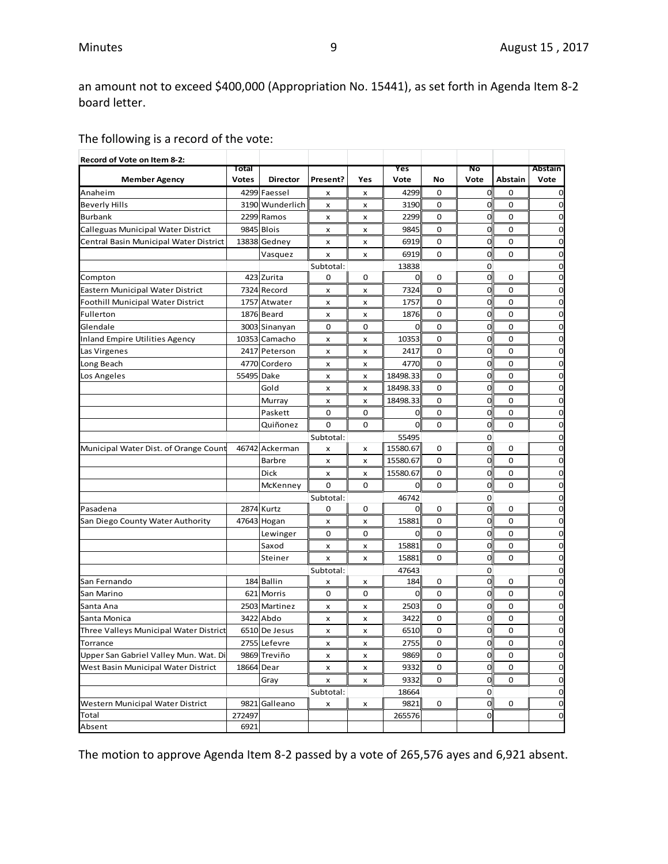an amount not to exceed \$400,000 (Appropriation No. 15441), as set forth in Agenda Item 8-2 board letter.

The following is a record of the vote:

| Record of Vote on Item 8-2:            |              |                 |             |             |                      |             |                  |             |              |
|----------------------------------------|--------------|-----------------|-------------|-------------|----------------------|-------------|------------------|-------------|--------------|
|                                        | Total        |                 |             |             | Yes                  |             | No               |             | Abstain      |
| <b>Member Agency</b>                   | <b>Votes</b> | <b>Director</b> | Present?    | Yes         | Vote                 | No          | Vote             | Abstain     | Vote         |
| Anaheim                                |              | 4299 Faessel    | x           | x           | 4299                 | 0           | 0                | 0           | 0            |
| <b>Beverly Hills</b>                   |              | 3190 Wunderlich | x           | x           | 3190                 | 0           | 0                | 0           | 0            |
| <b>Burbank</b>                         |              | 2299 Ramos      | x           | x           | 2299                 | 0           | 0                | 0           | 0            |
| Calleguas Municipal Water District     |              | 9845 Blois      | x           | x           | 9845                 | 0           | 0                | 0           | 0            |
| Central Basin Municipal Water District |              | 13838 Gedney    | x           | x           | 6919                 | 0           | 0                | $\mathbf 0$ | 0            |
|                                        |              | Vasquez         | x           | x           | 6919                 | 0           | $\overline{0}$   | 0           | 0            |
|                                        |              | 423 Zurita      | Subtotal:   | 0           | 13838<br>$\mathbf 0$ | 0           | 0<br>$\mathbf 0$ | 0           | 0<br>0       |
| Compton                                |              |                 | 0           |             | 7324                 |             |                  | 0           | 0            |
| Eastern Municipal Water District       |              | 7324 Record     | x           | x           |                      | 0           | 0                |             |              |
| Foothill Municipal Water District      |              | 1757 Atwater    | x           | x           | 1757                 | 0           | 0                | 0           | 0            |
| Fullerton                              |              | 1876 Beard      | x           | x           | 1876                 | 0           | 0                | 0           | 0            |
| Glendale                               |              | 3003 Sinanyan   | 0           | 0           | 0                    | 0           | 0                | 0           | 0            |
| Inland Empire Utilities Agency         |              | 10353 Camacho   | x           | x           | 10353                | 0           | 0                | 0           | 0            |
| Las Virgenes                           |              | 2417 Peterson   | x           | x           | 2417                 | 0           | 0                | 0           | 0            |
| Long Beach                             |              | 4770 Cordero    | x           | x           | 4770                 | 0           | 0                | 0           | 0            |
| Los Angeles                            | 55495 Dake   |                 | x           | x           | 18498.33             | 0           | 0                | 0           | 0            |
|                                        |              | Gold            | x           | x           | 18498.33             | 0           | 0                | 0           | 0            |
|                                        |              | Murray          | x           | x           | 18498.33             | 0           | 0                | 0           | 0            |
|                                        |              | Paskett         | 0           | 0           | 0                    | 0           | 0                | 0           | 0            |
|                                        |              | Quiñonez        | $\mathbf 0$ | $\mathbf 0$ | $\overline{0}$       | $\mathbf 0$ | 0                | $\mathbf 0$ | 0            |
|                                        |              |                 | Subtotal:   |             | 55495                |             | 0                |             | 0            |
| Municipal Water Dist. of Orange Count  |              | 46742 Ackerman  | x           | x           | 15580.67             | 0           | 0                | 0           | 0            |
|                                        |              | <b>Barbre</b>   | x           | x           | 15580.67             | 0           | 0                | 0           | 0            |
|                                        |              | Dick            | x           | x           | 15580.67             | 0           | 0                | 0           | 0            |
|                                        |              | McKenney        | 0           | 0           | 0                    | 0           | 0                | 0           | 0            |
|                                        |              |                 | Subtotal:   |             | 46742                |             | 0                |             | 0            |
| Pasadena                               |              | 2874 Kurtz      | 0           | 0           | $\overline{0}$       | 0           | $\mathbf 0$      | 0           | 0            |
| San Diego County Water Authority       |              | 47643 Hogan     | x           | x           | 15881                | 0           | 0                | 0           | 0            |
|                                        |              | Lewinger        | 0           | 0           | 0                    | 0           | 0                | 0           | 0            |
|                                        |              | Saxod           | x           | x           | 15881                | 0           | 0                | 0           | 0            |
|                                        |              | Steiner         | x           | x           | 15881                | 0           | 0                | 0           | 0            |
|                                        |              |                 | Subtotal:   |             | 47643                |             | 0                |             | 0            |
| San Fernando                           |              | 184 Ballin      | x           | x           | 184                  | 0           | $\mathbf 0$      | 0           | 0            |
| San Marino                             |              | 621 Morris      | 0           | 0           | $\mathbf 0$          | 0           | 0                | 0           | 0            |
| Santa Ana                              |              | 2503 Martinez   | x           | x           | 2503                 | 0           | 0                | 0           | 0            |
| Santa Monica                           |              | 3422 Abdo       | x           | x           | 3422                 | 0           | 0                | 0           | 0            |
| Three Valleys Municipal Water District |              | 6510 De Jesus   | x           | x           | 6510                 | 0           | 0                | 0           | 0            |
| Torrance                               |              | 2755 Lefevre    | x           | x           | 2755                 | U           | <sub>0</sub>     | U           | <sub>0</sub> |
| Upper San Gabriel Valley Mun. Wat. Di  |              | 9869 Treviño    | x           | x           | 9869                 | 0           | $\mathbf 0$      | 0           | $\mathbf 0$  |
| West Basin Municipal Water District    | 18664 Dear   |                 | x           | x           | 9332                 | 0           | 0                | 0           | 0            |
|                                        |              | Gray            | x           | x           | 9332                 | 0           | $\mathbf 0$      | 0           | 0            |
|                                        |              |                 | Subtotal:   |             | 18664                |             | 0                |             | 0            |
| Western Municipal Water District       |              | 9821 Galleano   | x           | x           | 9821                 | 0           | $\overline{0}$   | 0           | 0            |
| Total                                  | 272497       |                 |             |             | 265576               |             | 0                |             | $\mathbf 0$  |
| Absent                                 | 6921         |                 |             |             |                      |             |                  |             |              |

The motion to approve Agenda Item 8-2 passed by a vote of 265,576 ayes and 6,921 absent.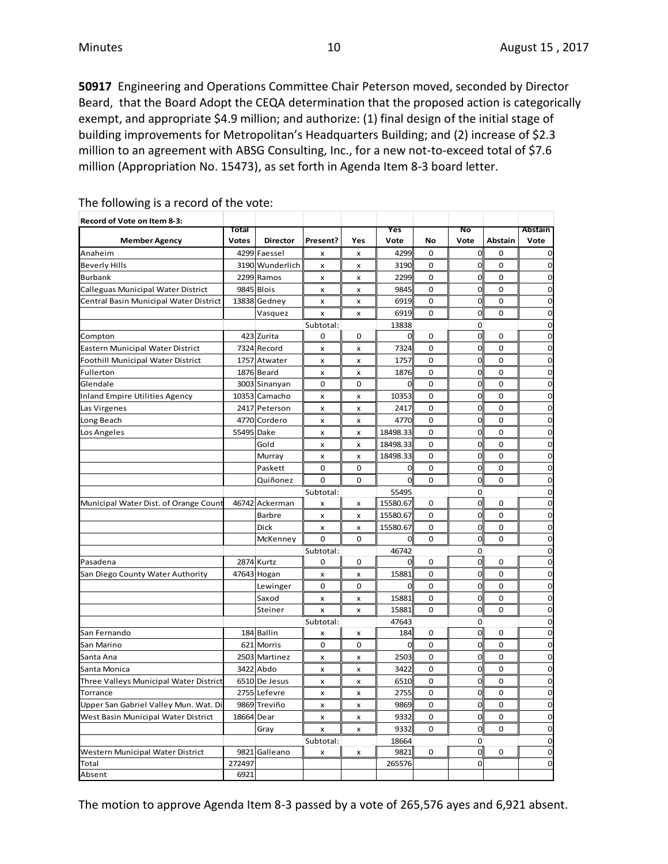**50917** Engineering and Operations Committee Chair Peterson moved, seconded by Director Beard, that the Board Adopt the CEQA determination that the proposed action is categorically exempt, and appropriate \$4.9 million; and authorize: (1) final design of the initial stage of building improvements for Metropolitan's Headquarters Building; and (2) increase of \$2.3 million to an agreement with ABSG Consulting, Inc., for a new not-to-exceed total of \$7.6 million (Appropriation No. 15473), as set forth in Agenda Item 8-3 board letter.

| Record of Vote on Item 8-3:              |                       |                                 |                           |                           |                |                   |                |                        |                 |
|------------------------------------------|-----------------------|---------------------------------|---------------------------|---------------------------|----------------|-------------------|----------------|------------------------|-----------------|
|                                          | Total<br><b>Votes</b> |                                 |                           |                           | Yes<br>Vote    |                   | No             |                        | Abstain<br>Vote |
| <b>Member Agency</b><br>Anaheim          |                       | <b>Director</b><br>4299 Faessel | Present?                  | Yes                       | 4299           | No<br>$\mathbf 0$ | Vote<br>0      | Abstain<br>$\mathbf 0$ | $\mathbf 0$     |
| <b>Beverly Hills</b>                     |                       | 3190 Wunderlich                 | x<br>X                    | x<br>x                    | 3190           | $\mathbf 0$       | $\mathbf 0$    | $\Omega$               | $\mathbf 0$     |
| <b>Burbank</b>                           |                       | 2299 Ramos                      | $\pmb{\times}$            | x                         | 2299           | $\Omega$          | $\mathbf 0$    | $\Omega$               | $\mathbf 0$     |
| Calleguas Municipal Water District       |                       | 9845 Blois                      | x                         | x                         | 9845           | 0                 | 0              | $\Omega$               | $\mathbf 0$     |
| Central Basin Municipal Water District   |                       | 13838 Gedney                    | x                         | $\mathsf{x}$              | 6919           | $\mathbf 0$       | O              | $\mathbf 0$            | $\mathbf 0$     |
|                                          |                       | Vasquez                         | $\pmb{\times}$            | x                         | 6919           | 0                 | $\overline{0}$ | 0                      | $\mathbf 0$     |
|                                          |                       |                                 | Subtotal:                 |                           | 13838          |                   | 0              |                        | $\mathbf 0$     |
| Compton                                  |                       | 423 Zurita                      | 0                         | 0                         | 0              | 0                 | $\mathbf 0$    | 0                      | $\mathbf 0$     |
| Eastern Municipal Water District         |                       | 7324 Record                     | $\pmb{\times}$            | $\pmb{\times}$            | 7324           | $\mathbf 0$       | $\mathbf 0$    | $\mathbf 0$            | $\mathbf 0$     |
| <b>Foothill Municipal Water District</b> |                       | 1757 Atwater                    | x                         | x                         | 1757           | 0                 | $\mathbf 0$    | 0                      | $\mathbf 0$     |
| Fullerton                                |                       | 1876 Beard                      | $\pmb{\times}$            | x                         | 1876           | 0                 | $\mathbf 0$    | $\mathbf 0$            | $\overline{O}$  |
| Glendale                                 |                       | 3003 Sinanyan                   | 0                         | 0                         | $\overline{0}$ | 0                 | 0              | $\mathbf 0$            | $\mathbf 0$     |
|                                          |                       |                                 |                           |                           | 10353          | 0                 | 0              | $\mathbf 0$            | $\mathbf 0$     |
| <b>Inland Empire Utilities Agency</b>    |                       | 10353 Camacho                   | x                         | x                         |                |                   |                |                        |                 |
| Las Virgenes                             |                       | 2417 Peterson                   | $\pmb{\times}$            | $\pmb{\times}$            | 2417           | $\mathbf 0$       | 0              | $\mathbf 0$            | $\overline{0}$  |
| Long Beach                               |                       | 4770 Cordero                    | $\mathsf{x}$              | x                         | 4770           | $\Omega$          | O              | $\Omega$               | $\mathbf 0$     |
| Los Angeles                              | 55495 Dake            |                                 | x                         | x                         | 18498.33       | 0                 | 0              | $\mathbf 0$            | $\mathbf 0$     |
|                                          |                       | Gold                            | $\mathsf{x}$              | x                         | 18498.33       | $\mathbf 0$       | O              | $\mathbf 0$            | $\overline{0}$  |
|                                          |                       | Murray                          | $\mathbf{x}$              | x                         | 18498.33       | $\Omega$          | $\overline{0}$ | $\Omega$               | $\overline{0}$  |
|                                          |                       | Paskett                         | 0                         | 0                         | 0              | 0                 | 0              | $\mathbf 0$            | $\mathbf 0$     |
|                                          |                       | Quiñonez                        | 0                         | 0                         | $\Omega$       | 0                 | 0              | 0                      | $\mathbf 0$     |
|                                          |                       |                                 | Subtotal:                 |                           | 55495          |                   | 0              |                        | $\mathbf 0$     |
| Municipal Water Dist. of Orange Count    |                       | 46742 Ackerman                  | X                         | x                         | 15580.67       | 0                 | $\mathbf 0$    | 0                      | $\mathbf 0$     |
|                                          |                       | <b>Barbre</b>                   | x                         | x                         | 15580.67       | $\Omega$          | $\overline{0}$ | $\Omega$               | $\mathbf 0$     |
|                                          |                       | Dick                            | x                         | x                         | 15580.67       | 0                 | $\mathbf 0$    | 0                      | $\mathbf 0$     |
|                                          |                       | McKenney                        | 0                         | 0                         | 0              | 0                 | $\mathbf 0$    | $\mathbf 0$            | $\mathbf 0$     |
|                                          |                       |                                 | Subtotal:                 |                           | 46742          |                   | $\overline{0}$ |                        | $\mathbf 0$     |
| Pasadena                                 |                       | 2874 Kurtz                      | 0                         | 0                         | $\overline{0}$ | 0                 | $\mathbf 0$    | 0                      | $\overline{0}$  |
| San Diego County Water Authority         |                       | 47643 Hogan                     | $\boldsymbol{\mathsf{x}}$ | x                         | 15881          | $\Omega$          | O              | $\Omega$               | $\overline{0}$  |
|                                          |                       | Lewinger                        | 0                         | 0                         | 0              | 0                 | 0              | 0                      | $\mathbf 0$     |
|                                          |                       | Saxod                           | x                         | $\pmb{\times}$            | 15881          | 0                 | $\mathbf 0$    | 0                      | $\mathbf 0$     |
|                                          |                       | Steiner                         | $\pmb{\times}$            | x                         | 15881          | 0                 | O              | 0                      | $\mathbf 0$     |
|                                          |                       |                                 | Subtotal:                 |                           | 47643          |                   | 0              |                        | $\mathbf 0$     |
| San Fernando                             |                       | 184 Ballin                      | $\mathbf x$               | x                         | 184            | $\Omega$          | $\mathbf 0$    | $\Omega$               | $\mathbf 0$     |
| San Marino                               |                       | 621 Morris                      | 0                         | 0                         | $\mathbf 0$    | 0                 | $\mathbf 0$    | 0                      | $\mathbf 0$     |
| Santa Ana                                |                       | 2503 Martinez                   | x                         | x                         | 2503           | 0                 | $\mathbf 0$    | 0                      | $\mathbf 0$     |
| Santa Monica                             | 3422                  | Abdo                            | x                         | x                         | 3422           | $\mathbf 0$       | $\overline{0}$ | $\mathbf 0$            | $\overline{0}$  |
| Three Valleys Municipal Water District   |                       | 6510 De Jesus                   | x                         | x                         | 6510           | 0                 | $\mathbf 0$    | 0                      | $\mathbf 0$     |
| Torrance                                 |                       | 2755 Lefevre                    | $\pmb{\times}$            | x                         | 2755           | 0                 | 0              | 0                      | $\mathbf 0$     |
| Upper San Gabriel Valley Mun. Wat. Di    |                       | 9869 Treviño                    | $\pmb{\times}$            | $\pmb{\times}$            | 9869           | $\mathbf 0$       | $\mathbf 0$    | $\mathbf 0$            | $\overline{0}$  |
| West Basin Municipal Water District      | 18664 Dear            |                                 | $\pmb{\times}$            | x                         | 9332           | 0                 | 0              | 0                      | $\mathbf 0$     |
|                                          |                       | Gray                            | $\boldsymbol{\mathsf{x}}$ | $\boldsymbol{\mathsf{x}}$ | 9332           | 0                 | $\mathbf 0$    | $\mathbf 0$            | $\mathbf 0$     |
|                                          |                       |                                 | Subtotal:                 |                           | 18664          |                   | 0              |                        | $\overline{0}$  |
| Western Municipal Water District         |                       | 9821 Galleano                   | x                         | x                         | 9821           | 0                 | $\mathbf 0$    | 0                      | $\mathbf 0$     |
| Total                                    | 272497                |                                 |                           |                           | 265576         |                   | O              |                        | $\overline{0}$  |
| Absent                                   | 6921                  |                                 |                           |                           |                |                   |                |                        |                 |

The following is a record of the vote:

The motion to approve Agenda Item 8-3 passed by a vote of 265,576 ayes and 6,921 absent.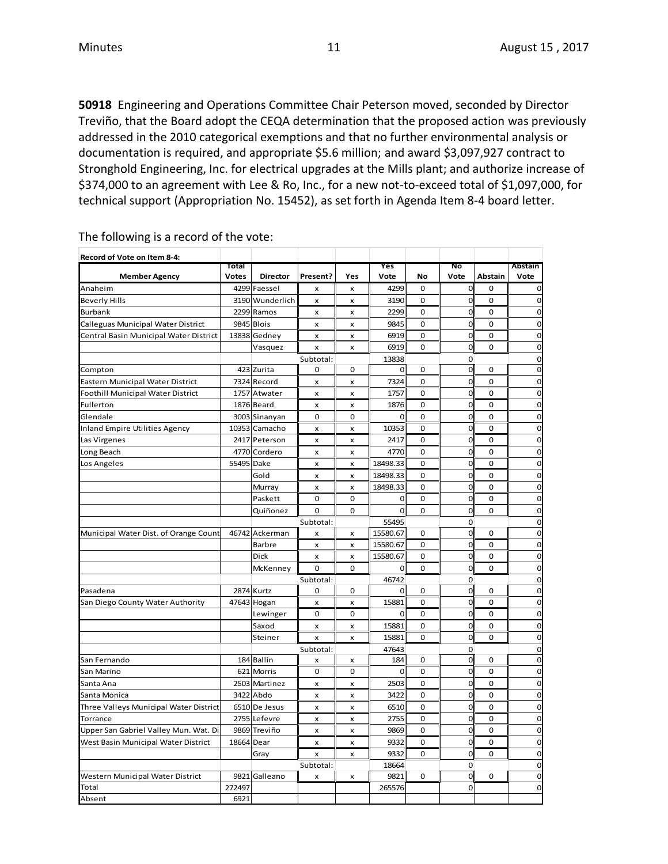**50918** Engineering and Operations Committee Chair Peterson moved, seconded by Director Treviño, that the Board adopt the CEQA determination that the proposed action was previously addressed in the 2010 categorical exemptions and that no further environmental analysis or documentation is required, and appropriate \$5.6 million; and award \$3,097,927 contract to Stronghold Engineering, Inc. for electrical upgrades at the Mills plant; and authorize increase of \$374,000 to an agreement with Lee & Ro, Inc., for a new not-to-exceed total of \$1,097,000, for technical support (Appropriation No. 15452), as set forth in Agenda Item 8-4 board letter.

| Record of Vote on Item 8-4:            |                       |                                 |                           |                     |                      |             |                   |             |                               |
|----------------------------------------|-----------------------|---------------------------------|---------------------------|---------------------|----------------------|-------------|-------------------|-------------|-------------------------------|
|                                        | Total<br><b>Votes</b> | <b>Director</b>                 | Present?                  | Yes                 | Yes<br>Vote          | No          | Νo<br>Vote        | Abstain     | Abstain<br>Vote               |
| <b>Member Agency</b><br>Anaheim        |                       | 4299 Faessel                    | $\boldsymbol{\mathsf{x}}$ | $\pmb{\times}$      | 4299                 | $\mathbf 0$ | $\mathbf 0$       | $\mathbf 0$ | $\overline{0}$                |
| <b>Beverly Hills</b>                   |                       | 3190 Wunderlich                 |                           |                     | 3190                 | 0           | 0                 | 0           | $\mathbf 0$                   |
| <b>Burbank</b>                         |                       | 2299 Ramos                      | x<br>X                    | x<br>x              | 2299                 | $\mathbf 0$ | $\mathbf 0$       | $\mathbf 0$ | $\mathbf 0$                   |
| Calleguas Municipal Water District     |                       | 9845 Blois                      | $\pmb{\times}$            | x                   | 9845                 | 0           | $\mathbf 0$       | $\mathbf 0$ | $\mathbf 0$                   |
| Central Basin Municipal Water District |                       | 13838 Gedney                    | x                         | x                   | 6919                 | $\Omega$    | $\overline{0}$    | $\Omega$    | $\mathbf 0$                   |
|                                        |                       | Vasquez                         |                           | x                   | 6919                 | 0           | 0                 | 0           | $\mathbf 0$                   |
|                                        |                       |                                 | x<br>Subtotal:            |                     | 13838                |             | $\mathbf 0$       |             | $\mathbf 0$                   |
| Compton                                |                       | 423 Zurita                      | 0                         | $\mathbf 0$         | $\overline{0}$       | 0           | $\mathbf 0$       | 0           | $\mathbf 0$                   |
| Eastern Municipal Water District       |                       | 7324 Record                     | $\pmb{\times}$            | x                   | 7324                 | 0           | $\mathbf 0$       | $\mathbf 0$ | $\mathbf 0$                   |
| Foothill Municipal Water District      |                       | 1757 Atwater                    | x                         | x                   | 1757                 | $\Omega$    | $\mathbf 0$       | $\Omega$    | $\mathbf 0$                   |
| Fullerton                              |                       | 1876 Beard                      |                           | x                   | 1876                 | 0           | $\mathbf 0$       | 0           | $\mathbf 0$                   |
| Glendale                               |                       | 3003 Sinanyan                   | x<br>$\mathbf 0$          | 0                   | 0                    | $\mathbf 0$ | $\mathbf 0$       | $\mathbf 0$ | $\mathbf 0$                   |
| <b>Inland Empire Utilities Agency</b>  |                       | 10353 Camacho                   | $\pmb{\times}$            | x                   | 10353                | 0           | $\mathbf 0$       | $\mathbf 0$ | $\mathbf 0$                   |
|                                        |                       | 2417 Peterson                   |                           |                     | 2417                 | 0           | $\mathbf 0$       | 0           | $\mathbf 0$                   |
| Las Virgenes<br>Long Beach             |                       | 4770 Cordero                    | x<br>$\pmb{\times}$       | x<br>$\pmb{\times}$ | 4770                 | 0           | $\mathbf 0$       | $\mathbf 0$ | $\mathbf 0$                   |
|                                        |                       |                                 | $\mathsf{x}$              | x                   | 18498.33             | $\mathbf 0$ | $\mathbf 0$       | $\mathbf 0$ | $\mathbf 0$                   |
| Los Angeles                            | 55495 Dake            | Gold                            |                           |                     | 18498.33             | 0           | $\mathbf 0$       | 0           | $\overline{0}$                |
|                                        |                       |                                 | x                         | x                   | 18498.33             |             | $\mathbf 0$       | $\pmb{0}$   | $\mathbf 0$                   |
|                                        |                       | Murray                          | $\pmb{\times}$            | $\pmb{\times}$      |                      | 0           | $\mathbf 0$       |             | $\mathbf 0$                   |
|                                        |                       | Paskett                         | 0                         | $\mathbf 0$         | 0                    | 0           |                   | $\mathbf 0$ |                               |
|                                        |                       | Quiñonez                        | $\Omega$                  | $\Omega$            | $\mathbf 0$          | $\Omega$    | $\mathbf 0$       | $\Omega$    | $\mathbf 0$                   |
|                                        |                       |                                 | Subtotal:                 |                     | 55495<br>15580.67    | $\Omega$    | 0<br>$\mathbf{o}$ | $\Omega$    | $\mathbf 0$<br>$\overline{0}$ |
| Municipal Water Dist. of Orange Count  |                       | 46742 Ackerman<br><b>Barbre</b> | x                         | x                   |                      | 0           | $\mathbf 0$       | 0           | $\mathbf 0$                   |
|                                        |                       | Dick                            | X                         | x<br>$\mathsf{x}$   | 15580.67<br>15580.67 | 0           | $\mathbf 0$       | $\mathbf 0$ | $\mathbf 0$                   |
|                                        |                       |                                 | X<br>0                    | 0                   | $\mathbf 0$          | 0           | $\mathbf 0$       | $\mathbf 0$ | $\mathbf 0$                   |
|                                        |                       | McKenney                        | Subtotal:                 |                     | 46742                |             | $\mathbf{O}$      |             | $\overline{0}$                |
| Pasadena                               |                       | 2874 Kurtz                      | 0                         | 0                   | 0                    | 0           | $\mathbf 0$       | 0           | $\mathbf 0$                   |
| San Diego County Water Authority       |                       | 47643 Hogan                     | x                         | x                   | 15881                | 0           | $\mathbf 0$       | 0           | $\overline{0}$                |
|                                        |                       | Lewinger                        | 0                         | $\mathbf 0$         | 0                    | 0           | $\mathbf 0$       | 0           | $\mathbf 0$                   |
|                                        |                       | Saxod                           | $\pmb{\times}$            | x                   | 15881                | 0           | $\mathbf 0$       | $\mathbf 0$ | $\mathbf 0$                   |
|                                        |                       | Steiner                         | X                         | $\pmb{\times}$      | 15881                | $\Omega$    | $\mathbf 0$       | $\Omega$    | $\mathbf 0$                   |
|                                        |                       |                                 | Subtotal:                 |                     | 47643                |             | 0                 |             | $\mathbf 0$                   |
| San Fernando                           |                       | 184 Ballin                      | x                         | x                   | 184                  | 0           | $\mathbf 0$       | 0           | $\mathbf 0$                   |
| San Marino                             |                       | 621 Morris                      | 0                         | 0                   | 0                    | 0           | 0                 | 0           | $\mathbf 0$                   |
| Santa Ana                              |                       | 2503 Martinez                   | $\pmb{\times}$            | x                   | 2503                 | 0           | $\mathbf 0$       | $\mathbf 0$ | $\overline{0}$                |
| Santa Monica                           |                       | 3422 Abdo                       | $\pmb{\times}$            | x                   | 3422                 | $\Omega$    | $\mathbf{o}$      | $\Omega$    | $\mathbf 0$                   |
| Three Valleys Municipal Water District |                       | 6510 De Jesus                   | x                         | x                   | 6510                 | 0           | $\mathbf 0$       | 0           | $\overline{0}$                |
| Torrance                               |                       | 2755 Lefevre                    | $\pmb{\times}$            | $\pmb{\times}$      | 2755                 | $\mathbf 0$ | 0                 | 0           | $\mathbf 0$                   |
| Upper San Gabriel Valley Mun. Wat. Di  |                       | 9869 Treviño                    | x                         | x                   | 9869                 | 0           | $\overline{0}$    | 0           | $\mathbf 0$                   |
| West Basin Municipal Water District    | 18664 Dear            |                                 | x                         | x                   | 9332                 | 0           | $\mathbf 0$       | 0           | $\mathbf 0$                   |
|                                        |                       | Gray                            | $\pmb{\times}$            | x                   | 9332                 | 0           | $\mathbf 0$       | 0           | $\mathbf 0$                   |
|                                        |                       |                                 | Subtotal:                 |                     | 18664                |             | 0                 |             | $\mathbf 0$                   |
| Western Municipal Water District       |                       | 9821 Galleano                   | $\pmb{\times}$            | x                   | 9821                 | 0           | $\mathbf 0$       | 0           | $\mathbf 0$                   |
| Total                                  | 272497                |                                 |                           |                     | 265576               |             | $\mathbf 0$       |             | $\mathbf 0$                   |
|                                        |                       |                                 |                           |                     |                      |             |                   |             |                               |

The following is a record of the vote: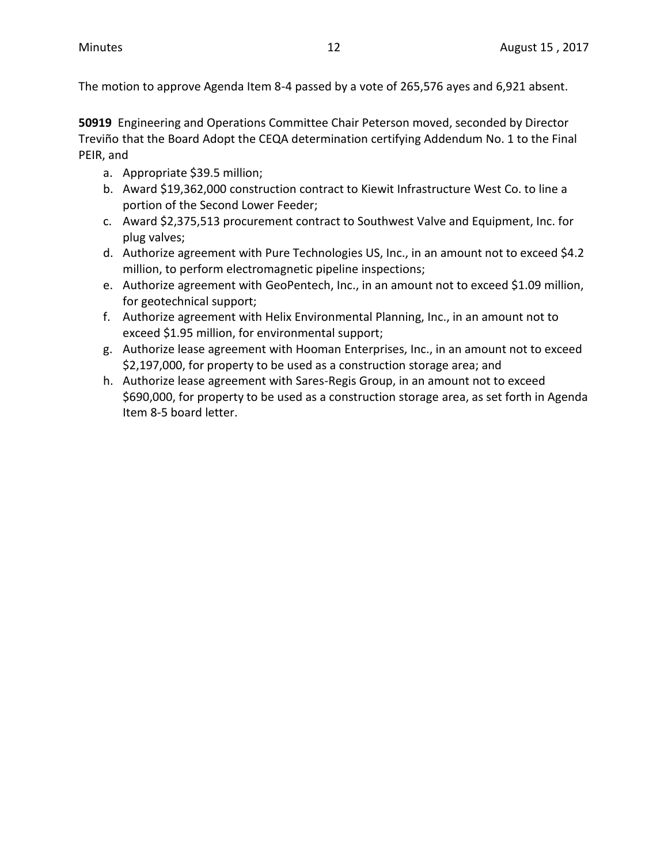The motion to approve Agenda Item 8-4 passed by a vote of 265,576 ayes and 6,921 absent.

**50919** Engineering and Operations Committee Chair Peterson moved, seconded by Director Treviño that the Board Adopt the CEQA determination certifying Addendum No. 1 to the Final PEIR, and

- a. Appropriate \$39.5 million;
- b. Award \$19,362,000 construction contract to Kiewit Infrastructure West Co. to line a portion of the Second Lower Feeder;
- c. Award \$2,375,513 procurement contract to Southwest Valve and Equipment, Inc. for plug valves;
- d. Authorize agreement with Pure Technologies US, Inc., in an amount not to exceed \$4.2 million, to perform electromagnetic pipeline inspections;
- e. Authorize agreement with GeoPentech, Inc., in an amount not to exceed \$1.09 million, for geotechnical support;
- f. Authorize agreement with Helix Environmental Planning, Inc., in an amount not to exceed \$1.95 million, for environmental support;
- g. Authorize lease agreement with Hooman Enterprises, Inc., in an amount not to exceed \$2,197,000, for property to be used as a construction storage area; and
- h. Authorize lease agreement with Sares-Regis Group, in an amount not to exceed \$690,000, for property to be used as a construction storage area, as set forth in Agenda Item 8-5 board letter.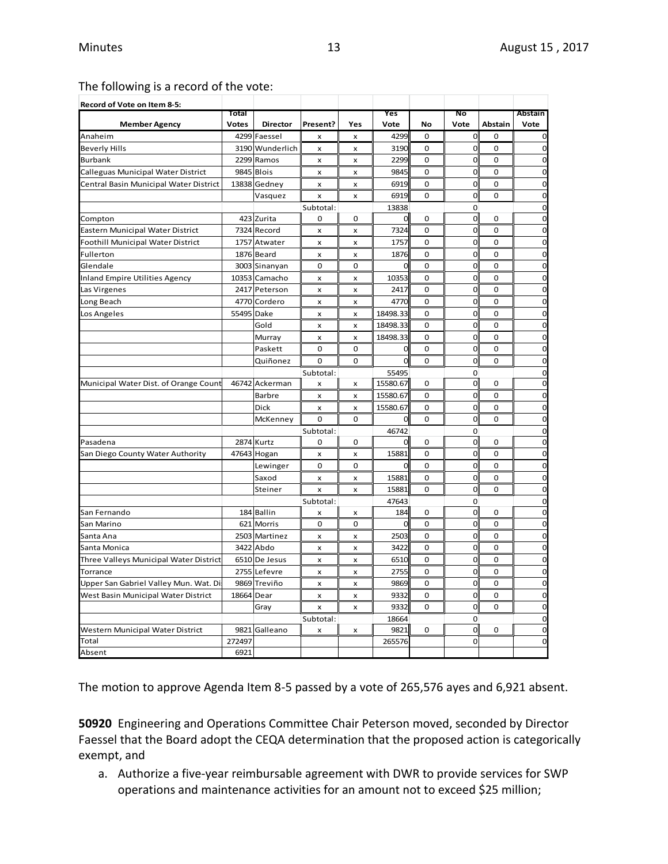#### The following is a record of the vote:

| Record of Vote on Item 8-5:            |                       |                 |                           |                           |                       |             |                     |             |                            |
|----------------------------------------|-----------------------|-----------------|---------------------------|---------------------------|-----------------------|-------------|---------------------|-------------|----------------------------|
|                                        | Total<br><b>Votes</b> | <b>Director</b> | Present?                  | Yes                       | Yes<br>Vote           | No          | No<br>Vote          | Abstain     | Abstain<br>Vote            |
| <b>Member Agency</b><br>Anaheim        |                       | 4299 Faessel    | x                         | $\pmb{\times}$            | 4299                  | 0           | $\mathbf{O}$        | 0           | 0                          |
| <b>Beverly Hills</b>                   |                       | 3190 Wunderlich |                           |                           | 3190                  | 0           | $\mathbf 0$         | 0           | $\mathbf 0$                |
| <b>Burbank</b>                         |                       | 2299 Ramos      | x<br>x                    | x<br>x                    | 2299                  | $\Omega$    | $\mathbf 0$         | $\Omega$    | 0                          |
| Calleguas Municipal Water District     | 9845                  | <b>Blois</b>    | $\boldsymbol{\mathsf{x}}$ | $\boldsymbol{\mathsf{x}}$ | 9845                  | 0           | $\mathbf 0$         | $\mathbf 0$ | $\overline{0}$             |
| Central Basin Municipal Water District |                       | 13838 Gedney    |                           |                           | 6919                  | $\Omega$    | $\mathbf 0$         | $\Omega$    | $\mathbf 0$                |
|                                        |                       |                 | x                         | x                         |                       |             |                     |             |                            |
|                                        |                       | Vasquez         | x                         | x                         | 6919                  | 0           | $\mathbf 0$         | $\mathbf 0$ | $\mathbf 0$                |
|                                        |                       | 423 Zurita      | Subtotal:<br>0            | $\mathbf 0$               | 13838<br><sub>0</sub> | 0           | 0<br>$\overline{0}$ | $\mathbf 0$ | $\mathbf 0$<br>$\mathbf 0$ |
| Compton                                |                       | 7324 Record     |                           |                           | 7324                  | 0           | $\Omega$            | $\mathbf 0$ | $\mathbf 0$                |
| Eastern Municipal Water District       |                       |                 | $\boldsymbol{\mathsf{x}}$ | $\boldsymbol{\mathsf{x}}$ | 1757                  | 0           | $\Omega$            | $\mathbf 0$ | $\mathbf 0$                |
| Foothill Municipal Water District      |                       | 1757 Atwater    | x                         | x                         |                       |             | $\mathbf 0$         |             |                            |
| Fullerton                              |                       | 1876 Beard      | x                         | x                         | 1876                  | 0           | $\mathbf 0$         | $\mathbf 0$ | $\mathbf 0$<br>$\mathbf 0$ |
| Glendale                               |                       | 3003 Sinanyan   | $\mathbf 0$               | 0                         | 0                     | 0           | $\mathbf 0$         | 0           |                            |
| <b>Inland Empire Utilities Agency</b>  |                       | 10353 Camacho   | $\pmb{\times}$            | x                         | 10353                 | 0           |                     | 0           | $\mathbf 0$                |
| Las Virgenes                           |                       | 2417 Peterson   | x                         | x                         | 2417                  | 0           | $\mathbf 0$         | 0           | $\mathbf 0$                |
| Long Beach                             |                       | 4770 Cordero    | x                         | x                         | 4770                  | $\mathbf 0$ | $\Omega$            | $\mathbf 0$ | $\overline{0}$             |
| Los Angeles                            | 55495 Dake            |                 | $\pmb{\times}$            | $\pmb{\times}$            | 18498.33              | 0           | $\mathbf 0$         | 0           | $\mathbf 0$                |
|                                        |                       | Gold            | x                         | x                         | 18498.33              | 0           | $\overline{0}$      | $\mathbf 0$ | $\mathbf 0$                |
|                                        |                       | Murray          | x                         | x                         | 18498.33              | 0           | $\mathbf 0$         | 0           | $\mathbf 0$                |
|                                        |                       | Paskett         | $\mathbf 0$               | 0                         | 0                     | 0           | $\overline{0}$      | $\mathbf 0$ | $\mathbf 0$                |
|                                        |                       | Quiñonez        | 0                         | 0                         | $\mathbf 0$           | 0           | $\mathbf 0$         | 0           | $\mathbf 0$                |
|                                        |                       |                 | Subtotal:                 |                           | 55495                 |             | 0                   |             | $\mathbf 0$                |
| Municipal Water Dist. of Orange Count  | 46742                 | Ackerman        | x                         | x                         | 15580.67              | 0           | $\mathbf{0}$        | $\mathbf 0$ | $\mathbf 0$                |
|                                        |                       | <b>Barbre</b>   | x                         | $\pmb{\times}$            | 15580.67              | 0           | $\mathbf 0$         | $\mathbf 0$ | $\mathbf 0$                |
|                                        |                       | Dick            | $\pmb{\times}$            | $\pmb{\times}$            | 15580.67              | 0           | $\mathbf 0$         | 0           | $\mathbf 0$                |
|                                        |                       | McKenney        | $\mathbf 0$               | 0                         | $\mathbf 0$           | 0           | $\overline{O}$      | 0           | $\mathbf 0$                |
|                                        |                       |                 | Subtotal:                 |                           | 46742                 |             | 0                   |             | $\mathbf 0$                |
| Pasadena                               |                       | 2874 Kurtz      | 0                         | 0                         | 0                     | 0           | $\Omega$            | $\mathbf 0$ | $\mathbf 0$                |
| San Diego County Water Authority       |                       | 47643 Hogan     | x                         | $\pmb{\times}$            | 15881                 | 0           | $\mathbf 0$         | $\mathbf 0$ | 0                          |
|                                        |                       | Lewinger        | 0                         | 0                         | 0                     | 0           | $\mathbf 0$         | 0           | $\mathbf 0$                |
|                                        |                       | Saxod           | $\pmb{\times}$            | x                         | 15881                 | 0           | $\mathbf 0$         | 0           | $\mathbf 0$                |
|                                        |                       | Steiner         | $\boldsymbol{\mathsf{x}}$ | x                         | 15881                 | $\Omega$    | $\overline{0}$      | $\Omega$    | $\mathbf 0$                |
|                                        |                       |                 | Subtotal:                 |                           | 47643                 |             | $\mathbf 0$         |             | $\mathbf 0$                |
| San Fernando                           |                       | 184 Ballin      | x                         | x                         | 184                   | 0           | $\mathbf 0$         | 0           | $\mathbf 0$                |
| San Marino                             |                       | 621 Morris      | 0                         | 0                         | 0                     | 0           | $\mathbf 0$         | $\mathbf 0$ | $\mathbf 0$                |
| Santa Ana                              |                       | 2503 Martinez   | $\pmb{\times}$            | $\pmb{\times}$            | 2503                  | 0           | $\mathbf 0$         | $\mathbf 0$ | $\mathbf 0$                |
| Santa Monica                           |                       | 3422 Abdo       | x                         | $\pmb{\times}$            | 3422                  | $\Omega$    | $\overline{0}$      | $\Omega$    | $\mathbf 0$                |
| Three Valleys Municipal Water District |                       | 6510 De Jesus   | x                         | x                         | 6510                  | 0           | $\mathbf 0$         | $\mathbf 0$ | $\mathbf 0$                |
| Torrance                               |                       | 2755 Lefevre    | x                         | $\pmb{\times}$            | 2755                  | $\mathbf 0$ | $\overline{0}$      | $\mathbf 0$ | $\mathbf 0$                |
| Upper San Gabriel Valley Mun. Wat. Di  |                       | 9869 Treviño    | $\pmb{\times}$            | $\pmb{\times}$            | 9869                  | 0           | $\overline{0}$      | 0           | $\mathbf 0$                |
| West Basin Municipal Water District    | 18664 Dear            |                 | x                         | x                         | 9332                  | 0           | $\mathbf 0$         | $\mathbf 0$ | $\mathbf 0$                |
|                                        |                       | Gray            | $\pmb{\times}$            | x                         | 9332                  | 0           | $\mathbf 0$         | $\mathbf 0$ | $\mathbf 0$                |
|                                        |                       |                 | Subtotal:                 |                           | 18664                 |             | 0                   |             | $\mathbf 0$                |
| Western Municipal Water District       | 9821                  | Galleano        | x                         | x                         | 9821                  | 0           | $\mathbf 0$         | $\mathbf 0$ | $\mathbf 0$                |
| Total                                  | 272497                |                 |                           |                           | 265576                |             | $\mathbf{O}$        |             | $\mathbf 0$                |
| Absent                                 | 6921                  |                 |                           |                           |                       |             |                     |             |                            |

The motion to approve Agenda Item 8-5 passed by a vote of 265,576 ayes and 6,921 absent.

**50920** Engineering and Operations Committee Chair Peterson moved, seconded by Director Faessel that the Board adopt the CEQA determination that the proposed action is categorically exempt, and

a. Authorize a five-year reimbursable agreement with DWR to provide services for SWP operations and maintenance activities for an amount not to exceed \$25 million;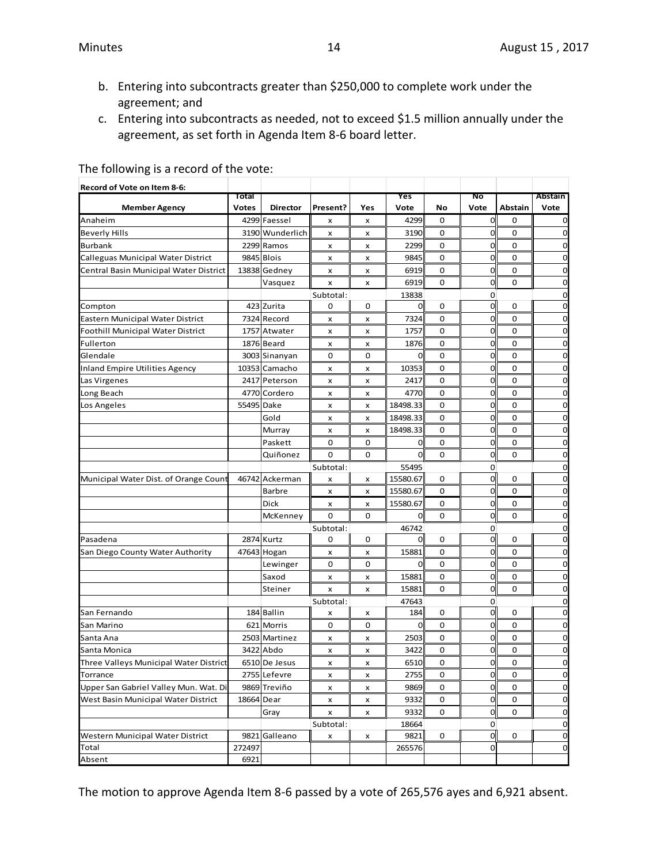- b. Entering into subcontracts greater than \$250,000 to complete work under the agreement; and
- c. Entering into subcontracts as needed, not to exceed \$1.5 million annually under the agreement, as set forth in Agenda Item 8-6 board letter.

| Record of Vote on Item 8-6:            |              |                 |           |     |          |    |                |             |             |
|----------------------------------------|--------------|-----------------|-----------|-----|----------|----|----------------|-------------|-------------|
|                                        | Total        |                 |           |     | Yes      |    | Νo             |             | Abstain     |
| <b>Member Agency</b>                   | <b>Votes</b> | <b>Director</b> | Present?  | Yes | Vote     | No | Vote           | Abstain     | Vote        |
| Anaheim                                |              | 4299 Faessel    | x         | x   | 4299     | 0  | $\mathbf 0$    | 0           | 0           |
| Beverly Hills                          |              | 3190 Wunderlich | x         | x   | 3190     | 0  | 0              | 0           | 0           |
| Burbank                                |              | 2299 Ramos      | x         | x   | 2299     | 0  | 0              | $\mathbf 0$ | 0           |
| Calleguas Municipal Water District     |              | 9845 Blois      | x         | x   | 9845     | 0  | 0              | 0           | 0           |
| Central Basin Municipal Water District |              | 13838 Gedney    | x         | x   | 6919     | 0  | $\mathbf 0$    | 0           | $\mathbf 0$ |
|                                        |              | Vasquez         | x         | x   | 6919     | 0  | $\mathbf 0$    | 0           | 0           |
|                                        |              |                 | Subtotal: |     | 13838    |    | 0              |             | 0           |
| Compton                                |              | 423 Zurita      | 0         | 0   | 0        | 0  | $\mathbf{0}$   | $\mathbf 0$ | 0           |
| Eastern Municipal Water District       |              | 7324 Record     | x         | x   | 7324     | 0  | 0              | 0           | 0           |
| Foothill Municipal Water District      |              | 1757 Atwater    | x         | x   | 1757     | 0  | 0              | $\mathbf 0$ | 0           |
| Fullerton                              |              | 1876 Beard      | x         | x   | 1876     | 0  | 0              | $\mathbf 0$ | 0           |
| Glendale                               |              | 3003 Sinanyan   | 0         | 0   | 0        | 0  | 0              | 0           | 0           |
| Inland Empire Utilities Agency         |              | 10353 Camacho   | x         | x   | 10353    | 0  | $\mathbf 0$    | 0           | $\mathbf 0$ |
| Las Virgenes                           |              | 2417 Peterson   | x         | x   | 2417     | 0  | $\mathbf 0$    | 0           | 0           |
| Long Beach                             |              | 4770 Cordero    | x         | x   | 4770     | 0  | 0              | $\mathbf 0$ | 0           |
| Los Angeles                            | 55495 Dake   |                 | x         | x   | 18498.33 | 0  | 0              | $\mathbf 0$ | 0           |
|                                        |              | Gold            | x         | x   | 18498.33 | 0  | $\overline{0}$ | 0           | 0           |
|                                        |              | Murray          | x         | x   | 18498.33 | 0  | $\overline{0}$ | 0           | $\mathbf 0$ |
|                                        |              | Paskett         | 0         | 0   | 0        | 0  | 0              | 0           | 0           |
|                                        |              | Quiñonez        | 0         | 0   | 0        | 0  | 0              | 0           | 0           |
|                                        |              |                 | Subtotal: |     | 55495    |    | 0              |             | 0           |
| Municipal Water Dist. of Orange Count  |              | 46742 Ackerman  | x         | x   | 15580.67 | 0  | $\mathbf 0$    | 0           | 0           |
|                                        |              | Barbre          | x         | x   | 15580.67 | 0  | $\mathbf 0$    | $\mathbf 0$ | 0           |
|                                        |              | Dick            | x         | x   | 15580.67 | 0  | 0              | 0           | 0           |
|                                        |              | McKenney        | 0         | 0   | 0        | 0  | $\overline{0}$ | $\mathbf 0$ | 0           |
|                                        |              |                 | Subtotal: |     | 46742    |    | 0              |             | 0           |
| Pasadena                               |              | 2874 Kurtz      | 0         | 0   | 0        | 0  | 0              | 0           | 0           |
| San Diego County Water Authority       |              | 47643 Hogan     | x         | x   | 15881    | 0  | $\mathbf 0$    | 0           | $\mathbf 0$ |
|                                        |              | Lewinger        | 0         | 0   | 0        | 0  | $\mathbf 0$    | 0           | 0           |
|                                        |              | Saxod           | x         | x   | 15881    | 0  | 0              | 0           | 0           |
|                                        |              | Steiner         | x         | x   | 15881    | 0  | 0              | $\mathbf 0$ | 0           |
|                                        |              |                 | Subtotal: |     | 47643    |    | 0              |             | 0           |
| San Fernando                           |              | 184 Ballin      | x         | x   | 184      | 0  | 0              | 0           | 0           |
| San Marino                             | 621          | Morris          | 0         | 0   | 0        | 0  | 0              | 0           | 0           |
| Santa Ana                              |              | 2503 Martinez   | x         | x   | 2503     | 0  | 0              | 0           | 0           |
| Santa Monica                           |              | 3422 Abdo       | x         | x   | 3422     | 0  | $\overline{0}$ | 0           | $\mathbf 0$ |
| Three Valleys Municipal Water District |              | 6510 De Jesus   | x         | x   | 6510     | 0  | 0              | 0           | 0           |
| Torrance                               |              | 2755 Lefevre    | x         | x   | 2755     | 0  | $\mathbf 0$    | 0           | $\mathbf 0$ |
| Upper San Gabriel Valley Mun. Wat. Di  |              | 9869 Treviño    | x         | x   | 9869     | 0  | 0              | $\mathbf 0$ | 0           |
| West Basin Municipal Water District    | 18664 Dear   |                 | x         | X   | 9332     | 0  | $\mathbf 0$    | 0           | 0           |
|                                        |              | Gray            | x         | x   | 9332     | 0  | 0              | 0           | $\mathbf 0$ |
|                                        |              |                 | Subtotal: |     | 18664    |    | 0              |             | 0           |
| Western Municipal Water District       |              | 9821 Galleano   | x         | x   | 9821     | 0  | $\overline{O}$ | 0           | 0           |
| Total                                  | 272497       |                 |           |     | 265576   |    | 0              |             | $\mathbf 0$ |
| Absent                                 | 6921         |                 |           |     |          |    |                |             |             |

The following is a record of the vote:

The motion to approve Agenda Item 8-6 passed by a vote of 265,576 ayes and 6,921 absent.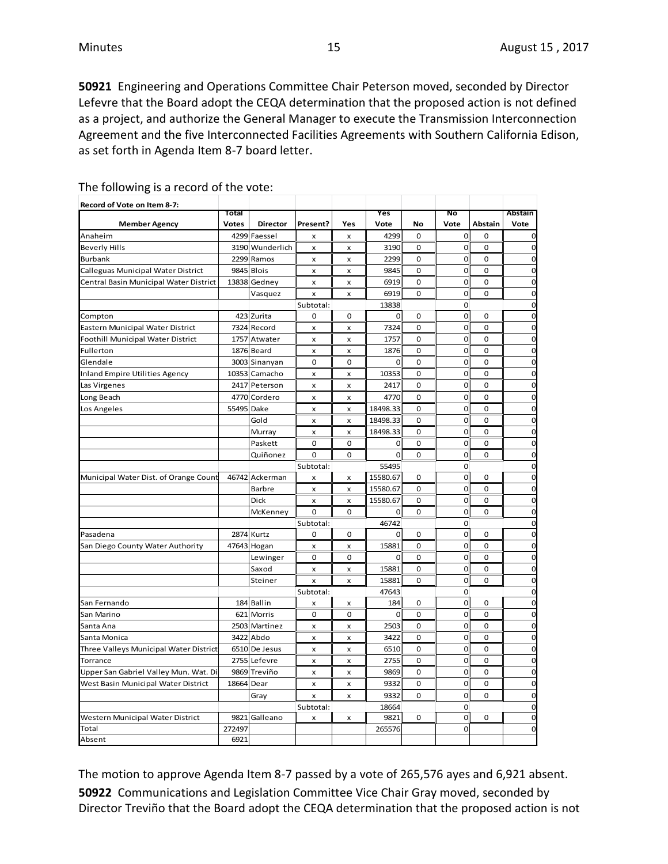**50921** Engineering and Operations Committee Chair Peterson moved, seconded by Director Lefevre that the Board adopt the CEQA determination that the proposed action is not defined as a project, and authorize the General Manager to execute the Transmission Interconnection Agreement and the five Interconnected Facilities Agreements with Southern California Edison, as set forth in Agenda Item 8-7 board letter.

| Record of Vote on Item 8-7:            |              |                 |              |                           |             |             |                |             |                |
|----------------------------------------|--------------|-----------------|--------------|---------------------------|-------------|-------------|----------------|-------------|----------------|
|                                        | Total        |                 |              |                           | Yes         |             | No             |             | Abstain        |
| <b>Member Agency</b>                   | <b>Votes</b> | <b>Director</b> | Present?     | Yes                       | Vote        | No          | Vote           | Abstain     | Vote           |
| Anaheim                                | 4299         | Faessel         | x            | $\boldsymbol{\mathsf{x}}$ | 4299        | 0           | $\mathbf 0$    | $\mathbf 0$ | 0              |
| <b>Beverly Hills</b>                   |              | 3190 Wunderlich | x            | x                         | 3190        | 0           | $\mathbf 0$    | 0           | $\mathbf 0$    |
| <b>Burbank</b>                         |              | 2299 Ramos      | x            | x                         | 2299        | 0           | $\mathbf 0$    | 0           | $\mathbf 0$    |
| Calleguas Municipal Water District     |              | 9845 Blois      | x            | x                         | 9845        | 0           | $\mathbf 0$    | $\mathbf 0$ | $\overline{0}$ |
| Central Basin Municipal Water District |              | 13838 Gedney    | x            | X                         | 6919        | 0           | $\overline{0}$ | $\mathbf 0$ | $\mathbf 0$    |
|                                        |              | Vasquez         | x            | x                         | 6919        | 0           | $\mathbf 0$    | 0           | $\mathbf 0$    |
|                                        |              |                 | Subtotal:    |                           | 13838       |             | $\mathbf 0$    |             | $\mathbf 0$    |
| Compton                                |              | 423 Zurita      | 0            | 0                         | 0           | 0           | $\mathbf 0$    | 0           | $\overline{0}$ |
| Eastern Municipal Water District       |              | 7324 Record     | x            | $\boldsymbol{\mathsf{x}}$ | 7324        | $\mathbf 0$ | $\overline{0}$ | $\mathbf 0$ | $\mathbf 0$    |
| Foothill Municipal Water District      | 1757         | Atwater         | x            | X                         | 1757        | $\Omega$    | $\overline{0}$ | $\Omega$    | $\mathbf 0$    |
| Fullerton                              |              | 1876 Beard      | x            | x                         | 1876        | 0           | $\mathbf 0$    | 0           | $\mathbf 0$    |
| Glendale                               |              | 3003 Sinanyan   | $\Omega$     | $\mathbf 0$               | 0           | 0           | $\mathbf 0$    | $\mathbf 0$ | $\mathbf 0$    |
| <b>Inland Empire Utilities Agency</b>  |              | 10353 Camacho   | x            | X                         | 10353       | $\Omega$    | $\mathbf 0$    | $\Omega$    | $\mathbf 0$    |
| Las Virgenes                           |              | 2417 Peterson   | x            | X                         | 2417        | 0           | $\mathbf 0$    | 0           | $\mathbf 0$    |
| Long Beach                             |              | 4770 Cordero    | x            | X                         | 4770        | 0           | $\mathbf 0$    | 0           | $\mathbf 0$    |
| Los Angeles                            | 55495 Dake   |                 | x            | X                         | 18498.33    | 0           | 0              | 0           | $\mathbf 0$    |
|                                        |              | Gold            | x            | X                         | 18498.33    | 0           | $\mathbf 0$    | 0           | $\mathbf 0$    |
|                                        |              | Murray          | x            | x                         | 18498.33    | 0           | $\mathbf 0$    | $\mathbf 0$ | $\mathbf 0$    |
|                                        |              | Paskett         | $\mathbf 0$  | $\mathbf 0$               | $\mathbf 0$ | 0           | $\overline{0}$ | $\mathbf 0$ | $\mathbf 0$    |
|                                        |              | Quiñonez        | 0            | 0                         | $\mathbf 0$ | 0           | $\mathbf 0$    | 0           | $\mathbf 0$    |
|                                        |              |                 | Subtotal:    |                           | 55495       |             | 0              |             | $\mathbf 0$    |
| Municipal Water Dist. of Orange Count  |              | 46742 Ackerman  | x            | x                         | 15580.67    | 0           | $\mathbf 0$    | 0           | $\mathbf 0$    |
|                                        |              | <b>Barbre</b>   | x            | x                         | 15580.67    | 0           | $\overline{0}$ | $\mathbf 0$ | $\mathbf 0$    |
|                                        |              | Dick            | x            | x                         | 15580.67    | 0           | $\overline{0}$ | 0           | $\overline{0}$ |
|                                        |              | McKenney        | $\Omega$     | $\Omega$                  | $\Omega$    | $\Omega$    | $\Omega$       | $\Omega$    | $\mathbf 0$    |
|                                        |              |                 | Subtotal:    |                           | 46742       |             | 0              |             | $\overline{0}$ |
| Pasadena                               |              | 2874 Kurtz      | 0            | $\mathbf 0$               | 0           | 0           | $\mathbf 0$    | 0           | $\overline{0}$ |
| San Diego County Water Authority       |              | 47643 Hogan     | $\mathbf{x}$ | $\boldsymbol{\mathsf{x}}$ | 15881       | 0           | $\overline{0}$ | $\mathbf 0$ | $\overline{0}$ |
|                                        |              | Lewinger        | $\mathbf 0$  | $\mathbf 0$               | 0           | 0           | $\overline{0}$ | 0           | $\overline{0}$ |
|                                        |              | Saxod           | x            | X                         | 15881       | 0           | $\overline{0}$ | $\mathbf 0$ | $\mathbf 0$    |
|                                        |              | Steiner         | x            | x                         | 15881       | 0           | 0              | 0           | $\mathbf 0$    |
|                                        |              |                 | Subtotal:    |                           | 47643       |             | $\mathbf 0$    |             | $\overline{0}$ |
| San Fernando                           |              | 184 Ballin      | x            | x                         | 184         | 0           | $\overline{0}$ | 0           | $\overline{0}$ |
| San Marino                             |              | 621 Morris      | 0            | $\mathbf 0$               | 0           | 0           | $\overline{0}$ | 0           | $\overline{0}$ |
| Santa Ana                              |              | 2503 Martinez   | x            | x                         | 2503        | 0           | $\mathbf 0$    | 0           | $\mathbf 0$    |
| Santa Monica                           |              | 3422 Abdo       | x            | $\boldsymbol{\mathsf{x}}$ | 3422        | 0           | $\overline{0}$ | $\mathbf 0$ | $\overline{0}$ |
| Three Valleys Municipal Water District |              | 6510 De Jesus   | x            | $\boldsymbol{\mathsf{x}}$ | 6510        | 0           | $\mathbf 0$    | $\mathbf 0$ | $\overline{0}$ |
| Torrance                               |              | 2755 Lefevre    | x            | x                         | 2755        | 0           | $\mathbf 0$    | 0           | $\mathbf 0$    |
| Upper San Gabriel Valley Mun. Wat. Di  |              | 9869 Treviño    | x            | x                         | 9869        | 0           | $\mathbf 0$    | 0           | $\mathbf 0$    |
| West Basin Municipal Water District    | 18664        | Dear            | x            | X                         | 9332        | 0           | $\mathbf 0$    | 0           | $\mathbf 0$    |
|                                        |              | Gray            | x            | x                         | 9332        | 0           | $\overline{0}$ | 0           | $\mathbf 0$    |
|                                        |              |                 | Subtotal:    |                           | 18664       |             | 0              |             | $\mathbf 0$    |
| Western Municipal Water District       |              | 9821 Galleano   | x            | x                         | 9821        | 0           | $\mathbf 0$    | 0           | $\mathbf 0$    |
| Total                                  | 272497       |                 |              |                           | 265576      |             | O              |             | $\overline{0}$ |
| Absent                                 | 6921         |                 |              |                           |             |             |                |             |                |

The following is a record of the vote:

The motion to approve Agenda Item 8-7 passed by a vote of 265,576 ayes and 6,921 absent. **50922** Communications and Legislation Committee Vice Chair Gray moved, seconded by Director Treviño that the Board adopt the CEQA determination that the proposed action is not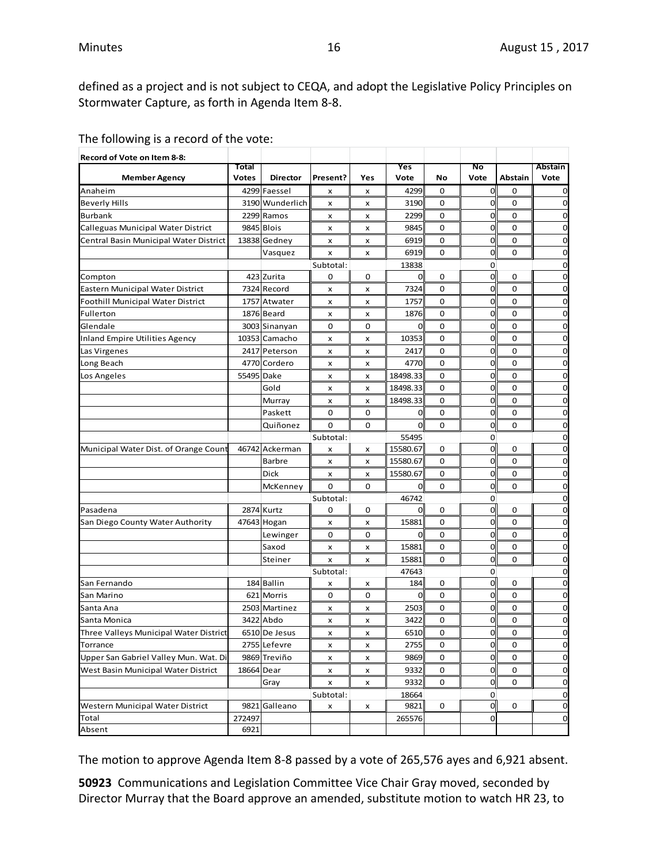defined as a project and is not subject to CEQA, and adopt the Legislative Policy Principles on Stormwater Capture, as forth in Agenda Item 8-8.

| Record of Vote on Item 8-8:            |                       |                 |             |     |                |             |                |             |                 |
|----------------------------------------|-----------------------|-----------------|-------------|-----|----------------|-------------|----------------|-------------|-----------------|
| <b>Member Agency</b>                   | Total<br><b>Votes</b> | <b>Director</b> | Present?    | Yes | Yes<br>Vote    | No          | No<br>Vote     | Abstain     | Abstain<br>Vote |
| Anaheim                                |                       | 4299 Faessel    | x           | x   | 4299           | 0           | 0              | 0           | $\overline{0}$  |
| <b>Beverly Hills</b>                   |                       | 3190 Wunderlich | x           | x   | 3190           | 0           | 0              | 0           | $\overline{0}$  |
| <b>Burbank</b>                         |                       | 2299 Ramos      | x           | x   | 2299           | 0           | 0              | 0           | 0               |
| Calleguas Municipal Water District     |                       | 9845 Blois      | x           | x   | 9845           | 0           | 0              | $\mathbf 0$ | $\overline{0}$  |
| Central Basin Municipal Water District |                       | 13838 Gedney    | x           | x   | 6919           | $\mathbf 0$ | 0              | 0           | $\mathbf 0$     |
|                                        |                       | Vasquez         | x           | x   | 6919           | 0           | 0              | 0           | $\overline{0}$  |
|                                        |                       |                 | Subtotal:   |     | 13838          |             | 0              |             | $\overline{0}$  |
| Compton                                |                       | 423 Zurita      | 0           | 0   | $\overline{0}$ | 0           | $\mathbf 0$    | 0           | $\overline{0}$  |
| Eastern Municipal Water District       |                       | 7324 Record     | x           | x   | 7324           | 0           | $\overline{0}$ | 0           | $\mathbf 0$     |
| Foothill Municipal Water District      |                       | 1757 Atwater    | x           | x   | 1757           | 0           | 0              | 0           | $\overline{0}$  |
| Fullerton                              |                       | 1876 Beard      | x           | x   | 1876           | $\mathbf 0$ | 0              | 0           | $\overline{0}$  |
| Glendale                               |                       | 3003 Sinanyan   | 0           | 0   | 0              | $\mathbf 0$ | 0              | $\mathbf 0$ | $\overline{0}$  |
| Inland Empire Utilities Agency         |                       | 10353 Camacho   | x           | x   | 10353          | $\mathbf 0$ | 0              | 0           | $\mathbf 0$     |
| Las Virgenes                           |                       | 2417 Peterson   | x           | x   | 2417           | 0           | 0              | 0           | $\mathbf 0$     |
| Long Beach                             |                       | 4770 Cordero    | x           | x   | 4770           | 0           | $\mathbf 0$    | 0           | $\overline{0}$  |
| Los Angeles                            | 55495 Dake            |                 | x           | x   | 18498.33       | 0           | $\mathbf 0$    | 0           | $\mathbf 0$     |
|                                        |                       | Gold            | x           | x   | 18498.33       | 0           | 0              | 0           | $\overline{0}$  |
|                                        |                       | Murray          | x           | x   | 18498.33       | 0           | 0              | 0           | $\mathbf 0$     |
|                                        |                       | Paskett         | 0           | 0   | 0              | 0           | 0              | 0           | $\overline{0}$  |
|                                        |                       | Quiñonez        | $\mathbf 0$ | 0   | 0              | 0           | 0              | 0           | $\overline{0}$  |
|                                        |                       |                 | Subtotal:   |     | 55495          |             | 0              |             | 0               |
| Municipal Water Dist. of Orange Count  |                       | 46742 Ackerman  | x           | x   | 15580.67       | 0           | 0              | 0           | $\mathbf 0$     |
|                                        |                       | <b>Barbre</b>   | x           | x   | 15580.67       | 0           | 0              | 0           | $\overline{0}$  |
|                                        |                       | Dick            | x           | x   | 15580.67       | 0           | 0              | 0           | $\overline{0}$  |
|                                        |                       | McKenney        | 0           | 0   | 0              | 0           | 0              | 0           | $\overline{0}$  |
|                                        |                       |                 | Subtotal:   |     | 46742          |             | 0              |             | $\mathbf 0$     |
| Pasadena                               |                       | 2874 Kurtz      | 0           | 0   | 0              | 0           | $\mathbf 0$    | 0           | $\mathbf 0$     |
| San Diego County Water Authority       |                       | 47643 Hogan     | x           | x   | 15881          | $\mathbf 0$ | 0              | 0           | $\overline{0}$  |
|                                        |                       | Lewinger        | 0           | 0   | 0              | 0           | 0              | 0           | $\mathbf 0$     |
|                                        |                       | Saxod           | x           | x   | 15881          | 0           | 0              | 0           | $\overline{0}$  |
|                                        |                       | Steiner         | x           | x   | 15881          | 0           | 0              | 0           | $\overline{0}$  |
|                                        |                       |                 | Subtotal:   |     | 47643          |             | 0              |             | 0               |
| San Fernando                           |                       | 184 Ballin      | x           | x   | 184            | 0           | 0              | 0           | $\overline{0}$  |
| San Marino                             | 621                   | Morris          | 0           | 0   | 0              | 0           | 0              | 0           | $\overline{0}$  |
| Santa Ana                              |                       | 2503 Martinez   | x           | x   | 2503           | 0           | 0              | 0           | $\mathbf 0$     |
| Santa Monica                           | 3422                  | Abdo            | x           | x   | 3422           | 0           | 0              | 0           | $\overline{0}$  |
| Three Valleys Municipal Water District |                       | 6510 De Jesus   | x           | x   | 6510           | 0           | 0              | 0           | 0               |
| Torrance                               |                       | 2755 Lefevre    | x           | x   | 2755           | 0           | <sub>0</sub>   | 0           | 0               |
| Upper San Gabriel Valley Mun. Wat. Di  |                       | 9869 Treviño    | x           | x   | 9869           | 0           | 0              | 0           | 0               |
| West Basin Municipal Water District    | 18664 Dear            |                 | x           | x   | 9332           | 0           | 0              | 0           | 0               |
|                                        |                       | Gray            | x           | x   | 9332           | 0           | 0              | 0           | $\mathbf 0$     |
|                                        |                       |                 | Subtotal:   |     | 18664          |             | 0              |             | $\overline{0}$  |
| Western Municipal Water District       |                       | 9821 Galleano   | x           | x   | 9821           | 0           | $\mathbf{0}$   | 0           | 0               |
| Total                                  | 272497                |                 |             |     | 265576         |             | 0              |             | $\mathbf 0$     |
| Absent                                 | 6921                  |                 |             |     |                |             |                |             |                 |

The following is a record of the vote:

The motion to approve Agenda Item 8-8 passed by a vote of 265,576 ayes and 6,921 absent.

**50923** Communications and Legislation Committee Vice Chair Gray moved, seconded by Director Murray that the Board approve an amended, substitute motion to watch HR 23, to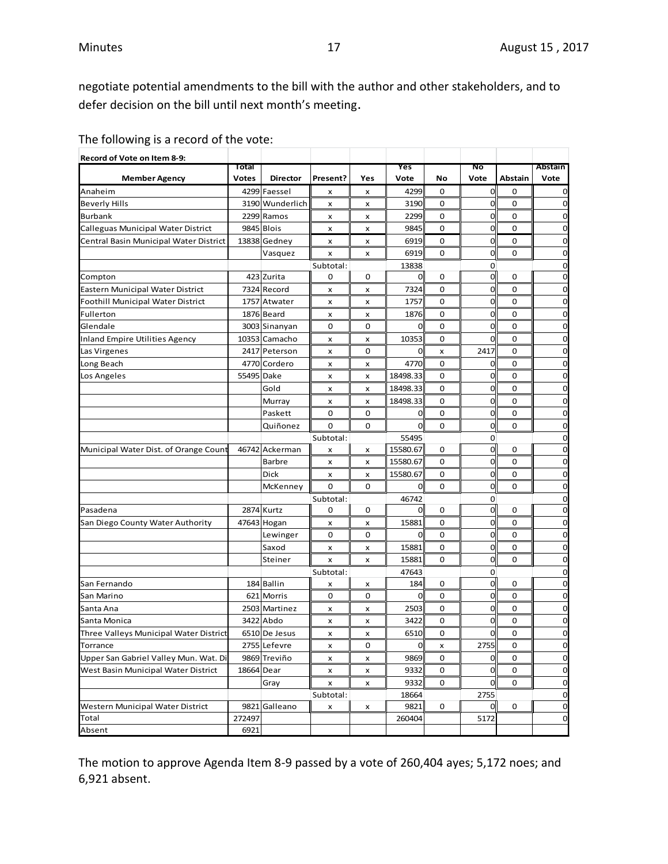negotiate potential amendments to the bill with the author and other stakeholders, and to defer decision on the bill until next month's meeting.

| The following is a record of the vote: |  |
|----------------------------------------|--|
|----------------------------------------|--|

| Record of Vote on Item 8-9:            |                       |                 |           |     |             |    |              |         |                 |
|----------------------------------------|-----------------------|-----------------|-----------|-----|-------------|----|--------------|---------|-----------------|
| <b>Member Agency</b>                   | Total<br><b>Votes</b> | <b>Director</b> | Present?  | Yes | Yes<br>Vote | No | Νo<br>Vote   | Abstain | Abstain<br>Vote |
| Anaheim                                |                       | 4299 Faessel    | x         | x   | 4299        | 0  | $\mathbf 0$  | 0       | $\Omega$        |
| <b>Beverly Hills</b>                   |                       | 3190 Wunderlich | x         | x   | 3190        | 0  | 0            | 0       | 0               |
| Burbank                                |                       | 2299 Ramos      | x         | x   | 2299        | 0  | 0            | 0       | 0               |
| Calleguas Municipal Water District     |                       | 9845 Blois      | x         | x   | 9845        | 0  | 0            | 0       | 0               |
| Central Basin Municipal Water District |                       | 13838 Gedney    | x         | x   | 6919        | 0  | 0            | 0       | $\mathbf 0$     |
|                                        |                       | Vasquez         | x         | x   | 6919        | 0  | 0            | 0       | $\mathbf 0$     |
|                                        |                       |                 | Subtotal: |     | 13838       |    | 0            |         | 0               |
| Compton                                |                       | 423 Zurita      | 0         | 0   | 0           | 0  | 0            | 0       | 0               |
| Eastern Municipal Water District       |                       | 7324 Record     | x         | x   | 7324        | 0  | 0            | 0       | 0               |
| Foothill Municipal Water District      |                       | 1757 Atwater    | x         | x   | 1757        | 0  | 0            | 0       | $\mathbf 0$     |
| Fullerton                              |                       | 1876 Beard      | x         | x   | 1876        | 0  | 0            | 0       | 0               |
| Glendale                               |                       | 3003 Sinanyan   | 0         | 0   | 0           | 0  | 0            | 0       | $\mathbf 0$     |
| <b>Inland Empire Utilities Agency</b>  |                       | 10353 Camacho   | x         | x   | 10353       | 0  | $\mathbf 0$  | 0       | 0               |
| Las Virgenes                           | 2417                  | Peterson        | x         | 0   | 0           | x  | 2417         | 0       | $\mathbf 0$     |
| Long Beach                             |                       | 4770 Cordero    | x         | x   | 4770        | 0  | 0            | 0       | 0               |
| Los Angeles                            | 55495                 | Dake            | x         | x   | 18498.33    | 0  | 0            | 0       | 0               |
|                                        |                       | Gold            | x         | x   | 18498.33    | 0  | 0            | 0       | 0               |
|                                        |                       | Murray          | x         | x   | 18498.33    | 0  | 0            | 0       | 0               |
|                                        |                       | Paskett         | 0         | 0   | 0           | 0  | 0            | 0       | 0               |
|                                        |                       | Quiñonez        | 0         | 0   | 0           | 0  | 0            | 0       | 0               |
|                                        |                       |                 | Subtotal: |     | 55495       |    | 0            |         | 0               |
| Municipal Water Dist. of Orange Count  |                       | 46742 Ackerman  | x         | x   | 15580.67    | 0  | $\mathbf 0$  | 0       | $\Omega$        |
|                                        |                       | <b>Barbre</b>   | x         | x   | 15580.67    | 0  | 0            | 0       | 0               |
|                                        |                       | Dick            | x         | x   | 15580.67    | 0  | 0            | 0       | 0               |
|                                        |                       | McKenney        | 0         | 0   | 0           | 0  | 0            | 0       | 0               |
|                                        |                       |                 | Subtotal: |     | 46742       |    | 0            |         | $\Omega$        |
| Pasadena                               |                       | 2874 Kurtz      | 0         | 0   | 0           | 0  | $\mathbf 0$  | 0       | 0               |
| San Diego County Water Authority       |                       | 47643 Hogan     | x         | x   | 15881       | 0  | 0            | 0       | 0               |
|                                        |                       | Lewinger        | 0         | 0   | $\mathbf 0$ | 0  | 0            | 0       | 0               |
|                                        |                       | Saxod           | x         | x   | 15881       | 0  | 0            | 0       | 0               |
|                                        |                       | Steiner         | x         | x   | 15881       | 0  | $\mathbf 0$  | 0       | 0               |
|                                        |                       |                 | Subtotal: |     | 47643       |    | 0            |         | 0               |
| San Fernando                           |                       | 184 Ballin      | x         | x   | 184         | 0  | $\mathbf{0}$ | 0       | 0               |
| San Marino                             |                       | 621 Morris      | 0         | 0   | 0           | 0  | 0            | 0       | $\mathbf 0$     |
| Santa Ana                              |                       | 2503 Martinez   | x         | x   | 2503        | 0  | 0            | 0       | $\mathbf 0$     |
| Santa Monica                           |                       | 3422 Abdo       | x         | x   | 3422        | 0  | $\mathbf 0$  | 0       | $\mathbf 0$     |
| Three Valleys Municipal Water District |                       | 6510 De Jesus   | x         | x   | 6510        | 0  | ΩI           | 0       | U               |
| Torrance                               |                       | 2755 Lefevre    | x         | 0   | $\mathbf 0$ | x  | 2755         | 0       | 0               |
| Upper San Gabriel Valley Mun. Wat. Di  |                       | 9869 Treviño    | x         | x   | 9869        | 0  | 0            | 0       | 0               |
| West Basin Municipal Water District    | 18664 Dear            |                 | x         | x   | 9332        | 0  | 0            | 0       | 0               |
|                                        |                       | Gray            | x         | x   | 9332        | 0  | $\mathbf 0$  | 0       | 0               |
|                                        |                       |                 | Subtotal: |     | 18664       |    | 2755         |         | 0               |
| Western Municipal Water District       |                       | 9821 Galleano   | x         | x   | 9821        | 0  | <sub>o</sub> | 0       | 0               |
| Total                                  | 272497                |                 |           |     | 260404      |    | 5172         |         | 0               |
| Absent                                 | 6921                  |                 |           |     |             |    |              |         |                 |

The motion to approve Agenda Item 8-9 passed by a vote of 260,404 ayes; 5,172 noes; and 6,921 absent.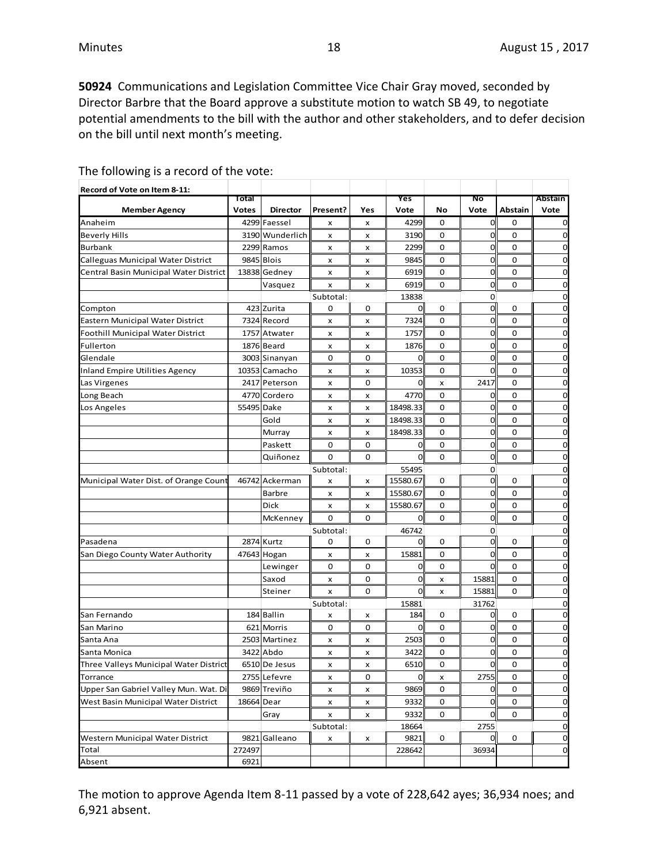**50924** Communications and Legislation Committee Vice Chair Gray moved, seconded by Director Barbre that the Board approve a substitute motion to watch SB 49, to negotiate potential amendments to the bill with the author and other stakeholders, and to defer decision on the bill until next month's meeting.

| Record of Vote on Item 8-11:           |              |                 |           |                |                |                |                |             |                |
|----------------------------------------|--------------|-----------------|-----------|----------------|----------------|----------------|----------------|-------------|----------------|
|                                        | Total        |                 |           |                | Yes            |                | Νo             |             | Abstain        |
| <b>Member Agency</b>                   | <b>Votes</b> | <b>Director</b> | Present?  | Yes            | Vote           | No             | Vote           | Abstain     | Vote           |
| Anaheim                                |              | 4299 Faessel    | x         | x              | 4299           | $\mathbf 0$    | $\overline{0}$ | $\mathbf 0$ | 0              |
| <b>Beverly Hills</b>                   |              | 3190 Wunderlich | x         | x              | 3190           | 0              | $\mathbf 0$    | 0           | 0              |
| <b>Burbank</b>                         |              | 2299 Ramos      | x         | x              | 2299           | 0              | $\mathbf 0$    | 0           | 0              |
| Calleguas Municipal Water District     |              | 9845 Blois      | x         | x              | 9845           | $\mathbf 0$    | 0              | $\mathbf 0$ | 0              |
| Central Basin Municipal Water District |              | 13838 Gedney    | x         | x              | 6919           | 0              | $\mathbf 0$    | 0           | 0              |
|                                        |              | Vasquez         | x         | x              | 6919           | 0              | $\overline{0}$ | $\mathbf 0$ | 0              |
|                                        |              |                 | Subtotal: |                | 13838          |                | 0              |             | 0              |
| Compton                                |              | 423 Zurita      | 0         | 0              | $\mathbf 0$    | 0              | $\mathbf 0$    | 0           | 0              |
| Eastern Municipal Water District       |              | 7324 Record     | x         | x              | 7324           | 0              | $\overline{0}$ | 0           | 0              |
| Foothill Municipal Water District      |              | 1757 Atwater    | x         | x              | 1757           | 0              | $\mathbf 0$    | 0           | 0              |
| Fullerton                              |              | 1876 Beard      | x         | x              | 1876           | 0              | $\mathbf 0$    | 0           | 0              |
| Glendale                               |              | 3003 Sinanyan   | 0         | 0              | 0              | 0              | 0              | $\mathbf 0$ | 0              |
| Inland Empire Utilities Agency         |              | 10353 Camacho   | x         | x              | 10353          | 0              | $\mathbf 0$    | 0           | 0              |
| Las Virgenes                           |              | 2417 Peterson   | x         | 0              | 0              | x              | 2417           | 0           | 0              |
| Long Beach                             |              | 4770 Cordero    | x         | x              | 4770           | 0              | 0              | 0           | 0              |
| Los Angeles                            | 55495 Dake   |                 | x         | x              | 18498.33       | 0              | $\mathbf 0$    | $\mathbf 0$ | 0              |
|                                        |              | Gold            | x         | x              | 18498.33       | $\mathbf 0$    | $\mathbf 0$    | $\mathbf 0$ | 0              |
|                                        |              | Murray          | x         | x              | 18498.33       | 0              | $\overline{0}$ | $\mathbf 0$ | 0              |
|                                        |              | Paskett         | 0         | $\mathbf 0$    | $\overline{0}$ | 0              | $\overline{0}$ | 0           | 0              |
|                                        |              | Quiñonez        | 0         | $\mathbf 0$    | 0              | $\mathbf 0$    | $\mathbf 0$    | $\mathbf 0$ | 0              |
|                                        |              |                 | Subtotal: |                | 55495          |                | 0              |             | 0              |
| Municipal Water Dist. of Orange Count  |              | 46742 Ackerman  | x         | x              | 15580.67       | 0              | $\mathbf 0$    | 0           | $\mathbf 0$    |
|                                        |              | Barbre          | x         | x              | 15580.67       | 0              | $\mathbf 0$    | 0           | 0              |
|                                        |              | Dick            | x         | x              | 15580.67       | 0              | $\mathbf 0$    | 0           | 0              |
|                                        |              | McKenney        | 0         | 0              | $\overline{0}$ | 0              | $\overline{0}$ | $\mathbf 0$ | 0              |
|                                        |              |                 | Subtotal: |                | 46742          |                | 0              |             | 0              |
| Pasadena                               |              | 2874 Kurtz      | 0         | 0              | 0              | 0              | $\overline{O}$ | 0           | 0              |
| San Diego County Water Authority       |              | 47643 Hogan     | x         | x              | 15881          | 0              | 0              | 0           | 0              |
|                                        |              | Lewinger        | 0         | 0              | $\overline{0}$ | 0              | $\mathbf 0$    | 0           | $\mathbf 0$    |
|                                        |              | Saxod           | x         | 0              | $\mathbf 0$    | x              | 15881          | 0           | 0              |
|                                        |              | Steiner         | x         | $\mathbf 0$    | $\overline{0}$ | $\pmb{\times}$ | 15881          | $\mathbf 0$ | 0              |
|                                        |              |                 | Subtotal: |                | 15881          |                | 31762          |             | 0              |
| San Fernando                           |              | 184 Ballin      | x         | x              | 184            | 0              | $\mathbf 0$    | 0           | 0              |
| San Marino                             |              | 621 Morris      | 0         | 0              | 0              | 0              | $\mathbf 0$    | 0           | 0              |
| Santa Ana                              |              | 2503 Martinez   | x         | x              | 2503           | 0              | 0              | $\mathbf 0$ | 0              |
| Santa Monica                           |              | 3422 Abdo       | x         | x              | 3422           | 0              | $\mathbf 0$    | 0           | $\mathbf 0$    |
| Three Valleys Municipal Water District |              | 6510 De Jesus   | x         | x              | 6510           | $\mathbf 0$    | $\overline{0}$ | $\mathbf 0$ | $\overline{0}$ |
| Torrance                               |              | 2755 Lefevre    | x         | 0              | $\overline{0}$ | х              | 2755           | 0           | $\mathbf 0$    |
| Upper San Gabriel Valley Mun. Wat. Di  |              | 9869 Treviño    | x         | x              | 9869           | $\mathbf 0$    | $\mathbf 0$    | 0           | $\mathbf 0$    |
| West Basin Municipal Water District    | 18664 Dear   |                 | x         | $\pmb{\times}$ | 9332           | 0              | $\mathbf 0$    | 0           | 0              |
|                                        |              | Gray            | x         | x              | 9332           | 0              | $\mathbf 0$    | 0           | $\mathbf 0$    |
|                                        |              |                 | Subtotal: |                | 18664          |                | 2755           |             | $\mathbf 0$    |
| Western Municipal Water District       |              | 9821 Galleano   | x         | x              | 9821           | 0              | $\overline{0}$ | 0           | $\mathbf 0$    |
| Total                                  | 272497       |                 |           |                | 228642         |                | 36934          |             | $\mathbf 0$    |
| Absent                                 | 6921         |                 |           |                |                |                |                |             |                |

The following is a record of the vote:

The motion to approve Agenda Item 8-11 passed by a vote of 228,642 ayes; 36,934 noes; and 6,921 absent.